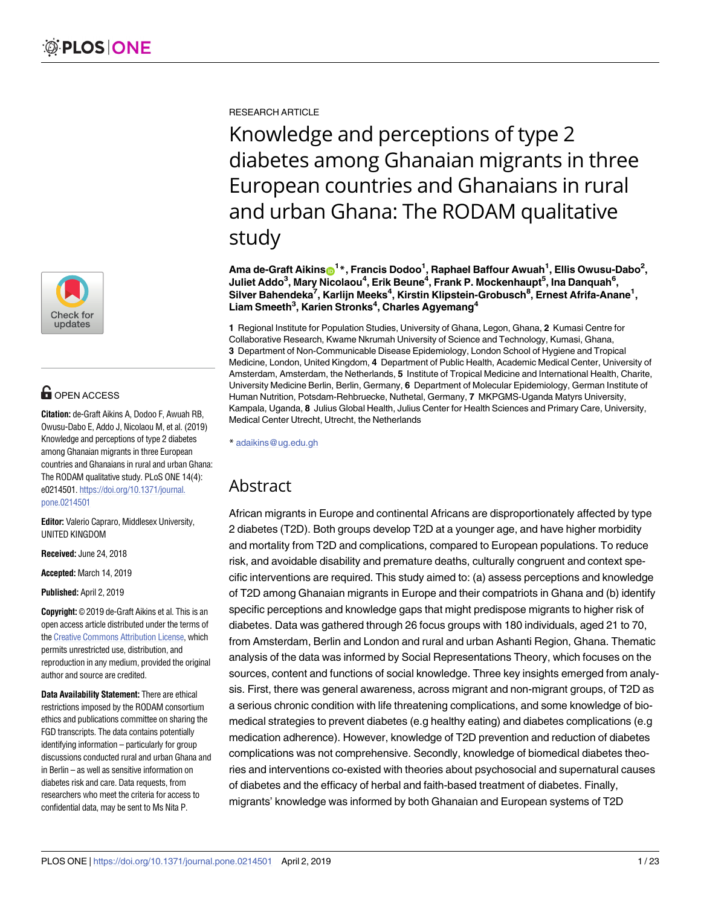

# **OPEN ACCESS**

**Citation:** de-Graft Aikins A, Dodoo F, Awuah RB, Owusu-Dabo E, Addo J, Nicolaou M, et al. (2019) Knowledge and perceptions of type 2 diabetes among Ghanaian migrants in three European countries and Ghanaians in rural and urban Ghana: The RODAM qualitative study. PLoS ONE 14(4): e0214501. [https://doi.org/10.1371/journal.](https://doi.org/10.1371/journal.pone.0214501) [pone.0214501](https://doi.org/10.1371/journal.pone.0214501)

**Editor:** Valerio Capraro, Middlesex University, UNITED KINGDOM

**Received:** June 24, 2018

**Accepted:** March 14, 2019

**Published:** April 2, 2019

**Copyright:** © 2019 de-Graft Aikins et al. This is an open access article distributed under the terms of the Creative [Commons](http://creativecommons.org/licenses/by/4.0/) Attribution License, which permits unrestricted use, distribution, and reproduction in any medium, provided the original author and source are credited.

**Data Availability Statement:** There are ethical restrictions imposed by the RODAM consortium ethics and publications committee on sharing the FGD transcripts. The data contains potentially identifying information – particularly for group discussions conducted rural and urban Ghana and in Berlin – as well as sensitive information on diabetes risk and care. Data requests, from researchers who meet the criteria for access to confidential data, may be sent to Ms Nita P.

RESEARCH ARTICLE

Knowledge and perceptions of type 2 diabetes among Ghanaian migrants in three European countries and Ghanaians in rural and urban Ghana: The RODAM qualitative study

 $\mathbf{A}\mathbf{m}$ a de-Graft Aikins $\mathbf{\Theta}^{1*}$ , Francis Dodoo $^{1}$ , Raphael Baffour Awuah $^{1}$ , Ellis Owusu-Dabo $^{2}$ ,  $\bm{J}$ uliet Addo $^3$ , Mary Nicolaou $^4$ , Erik Beune $^4$ , Frank P. Mockenhaupt $^5$ , Ina Danquah $^6$ ,  $\mathsf{S}$ ilver Bahendeka $^7$ , Karlijn Meeks $^4$ , Kirstin Klipstein-Grobusch $^8$ , Ernest Afrifa-Anane<sup>1</sup>, **Liam Smeeth3 , Karien Stronks4 , Charles Agyemang4**

**1** Regional Institute for Population Studies, University of Ghana, Legon, Ghana, **2** Kumasi Centre for Collaborative Research, Kwame Nkrumah University of Science and Technology, Kumasi, Ghana, **3** Department of Non-Communicable Disease Epidemiology, London School of Hygiene and Tropical Medicine, London, United Kingdom, **4** Department of Public Health, Academic Medical Center, University of Amsterdam, Amsterdam, the Netherlands, **5** Institute of Tropical Medicine and International Health, Charite, University Medicine Berlin, Berlin, Germany, **6** Department of Molecular Epidemiology, German Institute of Human Nutrition, Potsdam-Rehbruecke, Nuthetal, Germany, **7** MKPGMS-Uganda Matyrs University, Kampala, Uganda, **8** Julius Global Health, Julius Center for Health Sciences and Primary Care, University, Medical Center Utrecht, Utrecht, the Netherlands

\* adaikins@ug.edu.gh

# Abstract

African migrants in Europe and continental Africans are disproportionately affected by type 2 diabetes (T2D). Both groups develop T2D at a younger age, and have higher morbidity and mortality from T2D and complications, compared to European populations. To reduce risk, and avoidable disability and premature deaths, culturally congruent and context specific interventions are required. This study aimed to: (a) assess perceptions and knowledge of T2D among Ghanaian migrants in Europe and their compatriots in Ghana and (b) identify specific perceptions and knowledge gaps that might predispose migrants to higher risk of diabetes. Data was gathered through 26 focus groups with 180 individuals, aged 21 to 70, from Amsterdam, Berlin and London and rural and urban Ashanti Region, Ghana. Thematic analysis of the data was informed by Social Representations Theory, which focuses on the sources, content and functions of social knowledge. Three key insights emerged from analysis. First, there was general awareness, across migrant and non-migrant groups, of T2D as a serious chronic condition with life threatening complications, and some knowledge of biomedical strategies to prevent diabetes (e.g healthy eating) and diabetes complications (e.g medication adherence). However, knowledge of T2D prevention and reduction of diabetes complications was not comprehensive. Secondly, knowledge of biomedical diabetes theories and interventions co-existed with theories about psychosocial and supernatural causes of diabetes and the efficacy of herbal and faith-based treatment of diabetes. Finally, migrants' knowledge was informed by both Ghanaian and European systems of T2D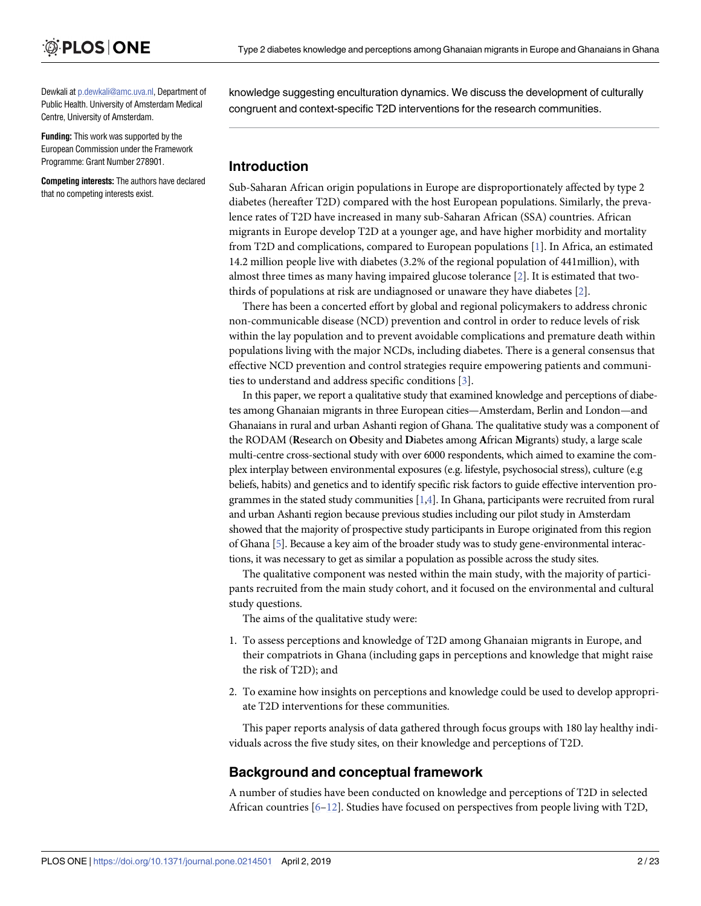<span id="page-1-0"></span>Dewkali at [p.dewkali@amc.uva.nl](mailto:p.dewkali@amc.uva.nl), Department of Public Health. University of Amsterdam Medical Centre, University of Amsterdam.

**Funding:** This work was supported by the European Commission under the Framework Programme: Grant Number 278901.

**Competing interests:** The authors have declared that no competing interests exist.

knowledge suggesting enculturation dynamics. We discuss the development of culturally congruent and context-specific T2D interventions for the research communities.

# **Introduction**

Sub-Saharan African origin populations in Europe are disproportionately affected by type 2 diabetes (hereafter T2D) compared with the host European populations. Similarly, the prevalence rates of T2D have increased in many sub-Saharan African (SSA) countries. African migrants in Europe develop T2D at a younger age, and have higher morbidity and mortality from T2D and complications, compared to European populations [\[1\]](#page-21-0). In Africa, an estimated 14.2 million people live with diabetes (3.2% of the regional population of 441million), with almost three times as many having impaired glucose tolerance [\[2\]](#page-21-0). It is estimated that twothirds of populations at risk are undiagnosed or unaware they have diabetes [\[2](#page-21-0)].

There has been a concerted effort by global and regional policymakers to address chronic non-communicable disease (NCD) prevention and control in order to reduce levels of risk within the lay population and to prevent avoidable complications and premature death within populations living with the major NCDs, including diabetes. There is a general consensus that effective NCD prevention and control strategies require empowering patients and communities to understand and address specific conditions [\[3](#page-21-0)].

In this paper, we report a qualitative study that examined knowledge and perceptions of diabetes among Ghanaian migrants in three European cities—Amsterdam, Berlin and London—and Ghanaians in rural and urban Ashanti region of Ghana. The qualitative study was a component of the RODAM (**R**esearch on **O**besity and **D**iabetes among **A**frican **M**igrants) study, a large scale multi-centre cross-sectional study with over 6000 respondents, which aimed to examine the complex interplay between environmental exposures (e.g. lifestyle, psychosocial stress), culture (e.g beliefs, habits) and genetics and to identify specific risk factors to guide effective intervention programmes in the stated study communities  $[1,4]$ . In Ghana, participants were recruited from rural and urban Ashanti region because previous studies including our pilot study in Amsterdam showed that the majority of prospective study participants in Europe originated from this region of Ghana [\[5\]](#page-21-0). Because a key aim of the broader study was to study gene-environmental interactions, it was necessary to get as similar a population as possible across the study sites.

The qualitative component was nested within the main study, with the majority of participants recruited from the main study cohort, and it focused on the environmental and cultural study questions.

The aims of the qualitative study were:

- 1. To assess perceptions and knowledge of T2D among Ghanaian migrants in Europe, and their compatriots in Ghana (including gaps in perceptions and knowledge that might raise the risk of T2D); and
- 2. To examine how insights on perceptions and knowledge could be used to develop appropriate T2D interventions for these communities.

This paper reports analysis of data gathered through focus groups with 180 lay healthy individuals across the five study sites, on their knowledge and perceptions of T2D.

## **Background and conceptual framework**

A number of studies have been conducted on knowledge and perceptions of T2D in selected African countries [\[6–12\]](#page-21-0). Studies have focused on perspectives from people living with T2D,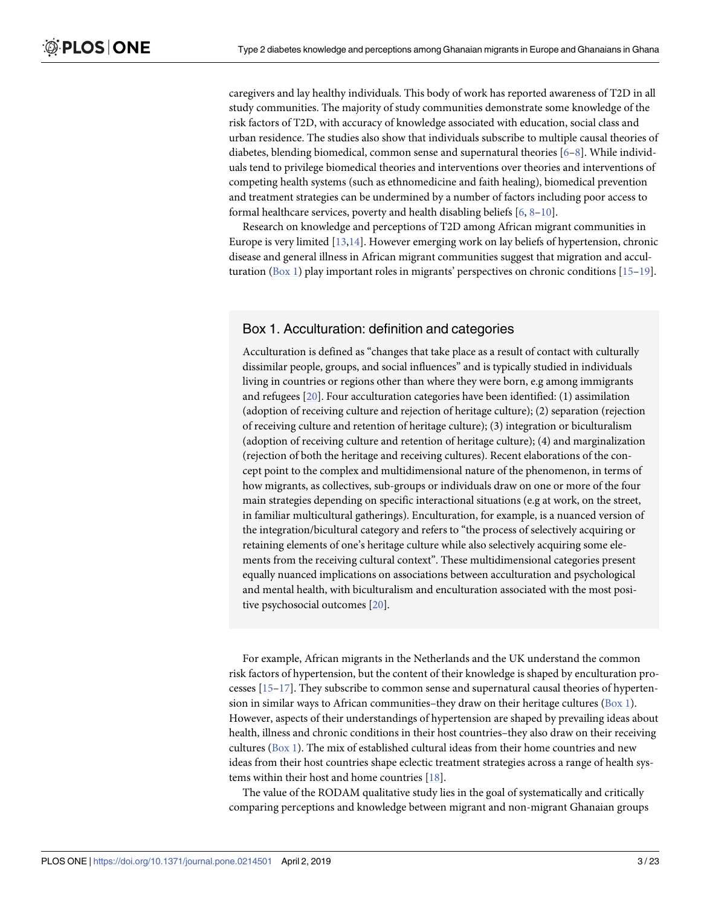<span id="page-2-0"></span>caregivers and lay healthy individuals. This body of work has reported awareness of T2D in all study communities. The majority of study communities demonstrate some knowledge of the risk factors of T2D, with accuracy of knowledge associated with education, social class and urban residence. The studies also show that individuals subscribe to multiple causal theories of diabetes, blending biomedical, common sense and supernatural theories [\[6–8](#page-21-0)]. While individuals tend to privilege biomedical theories and interventions over theories and interventions of competing health systems (such as ethnomedicine and faith healing), biomedical prevention and treatment strategies can be undermined by a number of factors including poor access to formal healthcare services, poverty and health disabling beliefs  $[6, 8-10]$  $[6, 8-10]$ .

Research on knowledge and perceptions of T2D among African migrant communities in Europe is very limited [\[13,14](#page-21-0)]. However emerging work on lay beliefs of hypertension, chronic disease and general illness in African migrant communities suggest that migration and acculturation (Box 1) play important roles in migrants' perspectives on chronic conditions [[15–19\]](#page-22-0).

## Box 1. Acculturation: definition and categories

Acculturation is defined as "changes that take place as a result of contact with culturally dissimilar people, groups, and social influences" and is typically studied in individuals living in countries or regions other than where they were born, e.g among immigrants and refugees [[20](#page-22-0)]. Four acculturation categories have been identified: (1) assimilation (adoption of receiving culture and rejection of heritage culture); (2) separation (rejection of receiving culture and retention of heritage culture); (3) integration or biculturalism (adoption of receiving culture and retention of heritage culture); (4) and marginalization (rejection of both the heritage and receiving cultures). Recent elaborations of the concept point to the complex and multidimensional nature of the phenomenon, in terms of how migrants, as collectives, sub-groups or individuals draw on one or more of the four main strategies depending on specific interactional situations (e.g at work, on the street, in familiar multicultural gatherings). Enculturation, for example, is a nuanced version of the integration/bicultural category and refers to "the process of selectively acquiring or retaining elements of one's heritage culture while also selectively acquiring some elements from the receiving cultural context". These multidimensional categories present equally nuanced implications on associations between acculturation and psychological and mental health, with biculturalism and enculturation associated with the most positive psychosocial outcomes [\[20\]](#page-22-0).

For example, African migrants in the Netherlands and the UK understand the common risk factors of hypertension, but the content of their knowledge is shaped by enculturation processes [\[15–17](#page-22-0)]. They subscribe to common sense and supernatural causal theories of hypertension in similar ways to African communities–they draw on their heritage cultures ( $Box 1$ ). However, aspects of their understandings of hypertension are shaped by prevailing ideas about health, illness and chronic conditions in their host countries–they also draw on their receiving cultures (Box 1). The mix of established cultural ideas from their home countries and new ideas from their host countries shape eclectic treatment strategies across a range of health systems within their host and home countries [[18](#page-22-0)].

The value of the RODAM qualitative study lies in the goal of systematically and critically comparing perceptions and knowledge between migrant and non-migrant Ghanaian groups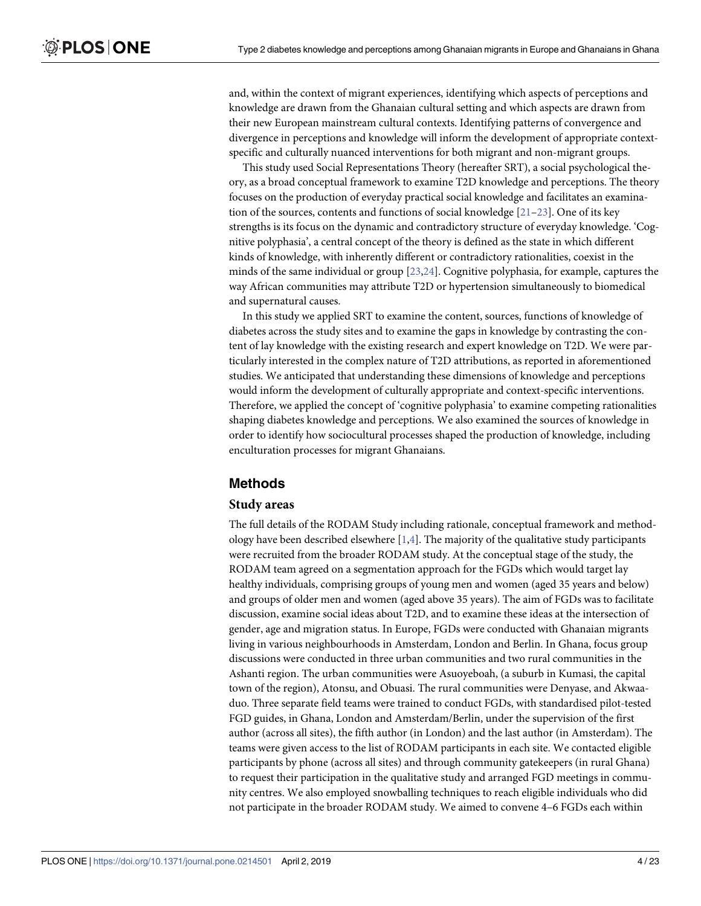<span id="page-3-0"></span>and, within the context of migrant experiences, identifying which aspects of perceptions and knowledge are drawn from the Ghanaian cultural setting and which aspects are drawn from their new European mainstream cultural contexts. Identifying patterns of convergence and divergence in perceptions and knowledge will inform the development of appropriate contextspecific and culturally nuanced interventions for both migrant and non-migrant groups.

This study used Social Representations Theory (hereafter SRT), a social psychological theory, as a broad conceptual framework to examine T2D knowledge and perceptions. The theory focuses on the production of everyday practical social knowledge and facilitates an examination of the sources, contents and functions of social knowledge  $[21-23]$ . One of its key strengths is its focus on the dynamic and contradictory structure of everyday knowledge. 'Cognitive polyphasia', a central concept of the theory is defined as the state in which different kinds of knowledge, with inherently different or contradictory rationalities, coexist in the minds of the same individual or group [\[23,24\]](#page-22-0). Cognitive polyphasia, for example, captures the way African communities may attribute T2D or hypertension simultaneously to biomedical and supernatural causes.

In this study we applied SRT to examine the content, sources, functions of knowledge of diabetes across the study sites and to examine the gaps in knowledge by contrasting the content of lay knowledge with the existing research and expert knowledge on T2D. We were particularly interested in the complex nature of T2D attributions, as reported in aforementioned studies. We anticipated that understanding these dimensions of knowledge and perceptions would inform the development of culturally appropriate and context-specific interventions. Therefore, we applied the concept of 'cognitive polyphasia' to examine competing rationalities shaping diabetes knowledge and perceptions. We also examined the sources of knowledge in order to identify how sociocultural processes shaped the production of knowledge, including enculturation processes for migrant Ghanaians.

## **Methods**

#### **Study areas**

The full details of the RODAM Study including rationale, conceptual framework and methodology have been described elsewhere  $[1,4]$  $[1,4]$ . The majority of the qualitative study participants were recruited from the broader RODAM study. At the conceptual stage of the study, the RODAM team agreed on a segmentation approach for the FGDs which would target lay healthy individuals, comprising groups of young men and women (aged 35 years and below) and groups of older men and women (aged above 35 years). The aim of FGDs was to facilitate discussion, examine social ideas about T2D, and to examine these ideas at the intersection of gender, age and migration status. In Europe, FGDs were conducted with Ghanaian migrants living in various neighbourhoods in Amsterdam, London and Berlin. In Ghana, focus group discussions were conducted in three urban communities and two rural communities in the Ashanti region. The urban communities were Asuoyeboah, (a suburb in Kumasi, the capital town of the region), Atonsu, and Obuasi. The rural communities were Denyase, and Akwaaduo. Three separate field teams were trained to conduct FGDs, with standardised pilot-tested FGD guides, in Ghana, London and Amsterdam/Berlin, under the supervision of the first author (across all sites), the fifth author (in London) and the last author (in Amsterdam). The teams were given access to the list of RODAM participants in each site. We contacted eligible participants by phone (across all sites) and through community gatekeepers (in rural Ghana) to request their participation in the qualitative study and arranged FGD meetings in community centres. We also employed snowballing techniques to reach eligible individuals who did not participate in the broader RODAM study. We aimed to convene 4–6 FGDs each within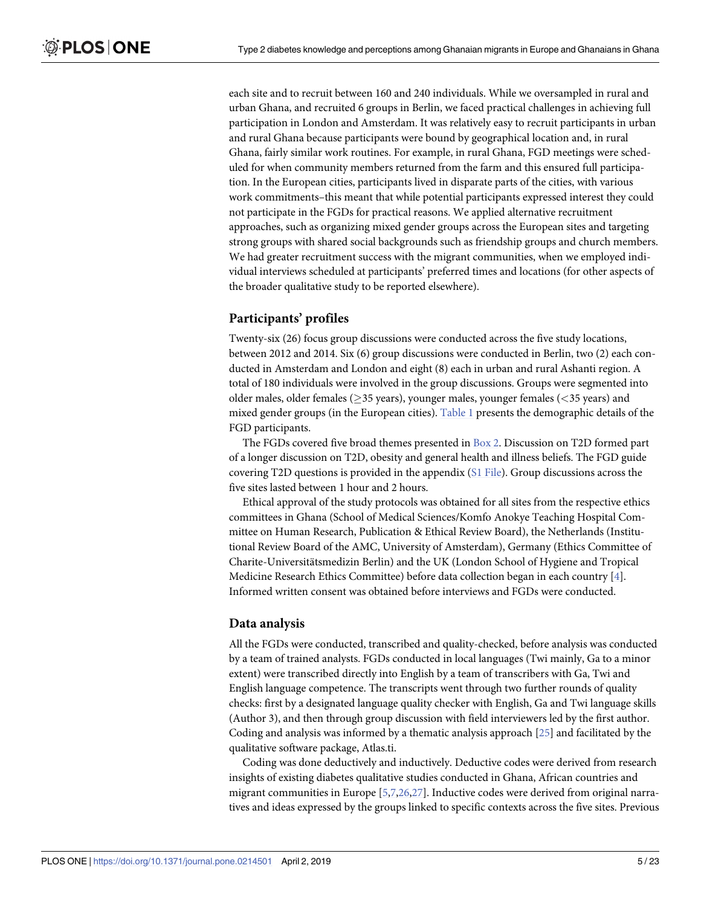<span id="page-4-0"></span>each site and to recruit between 160 and 240 individuals. While we oversampled in rural and urban Ghana, and recruited 6 groups in Berlin, we faced practical challenges in achieving full participation in London and Amsterdam. It was relatively easy to recruit participants in urban and rural Ghana because participants were bound by geographical location and, in rural Ghana, fairly similar work routines. For example, in rural Ghana, FGD meetings were scheduled for when community members returned from the farm and this ensured full participation. In the European cities, participants lived in disparate parts of the cities, with various work commitments–this meant that while potential participants expressed interest they could not participate in the FGDs for practical reasons. We applied alternative recruitment approaches, such as organizing mixed gender groups across the European sites and targeting strong groups with shared social backgrounds such as friendship groups and church members. We had greater recruitment success with the migrant communities, when we employed individual interviews scheduled at participants' preferred times and locations (for other aspects of the broader qualitative study to be reported elsewhere).

## **Participants' profiles**

Twenty-six (26) focus group discussions were conducted across the five study locations, between 2012 and 2014. Six (6) group discussions were conducted in Berlin, two (2) each conducted in Amsterdam and London and eight (8) each in urban and rural Ashanti region. A total of 180 individuals were involved in the group discussions. Groups were segmented into older males, older females (�35 years), younger males, younger females (*<*35 years) and mixed gender groups (in the European cities). [Table](#page-5-0) 1 presents the demographic details of the FGD participants.

The FGDs covered five broad themes presented in [Box](#page-5-0) 2. Discussion on T2D formed part of a longer discussion on T2D, obesity and general health and illness beliefs. The FGD guide covering T2D questions is provided in the appendix (S1 [File](#page-20-0)). Group discussions across the five sites lasted between 1 hour and 2 hours.

Ethical approval of the study protocols was obtained for all sites from the respective ethics committees in Ghana (School of Medical Sciences/Komfo Anokye Teaching Hospital Committee on Human Research, Publication & Ethical Review Board), the Netherlands (Institutional Review Board of the AMC, University of Amsterdam), Germany (Ethics Committee of Charite-Universitätsmedizin Berlin) and the UK (London School of Hygiene and Tropical Medicine Research Ethics Committee) before data collection began in each country [[4](#page-21-0)]. Informed written consent was obtained before interviews and FGDs were conducted.

#### **Data analysis**

All the FGDs were conducted, transcribed and quality-checked, before analysis was conducted by a team of trained analysts. FGDs conducted in local languages (Twi mainly, Ga to a minor extent) were transcribed directly into English by a team of transcribers with Ga, Twi and English language competence. The transcripts went through two further rounds of quality checks: first by a designated language quality checker with English, Ga and Twi language skills (Author 3), and then through group discussion with field interviewers led by the first author. Coding and analysis was informed by a thematic analysis approach [[25](#page-22-0)] and facilitated by the qualitative software package, Atlas.ti.

Coding was done deductively and inductively. Deductive codes were derived from research insights of existing diabetes qualitative studies conducted in Ghana, African countries and migrant communities in Europe [\[5,7](#page-21-0)[,26,27](#page-22-0)]. Inductive codes were derived from original narratives and ideas expressed by the groups linked to specific contexts across the five sites. Previous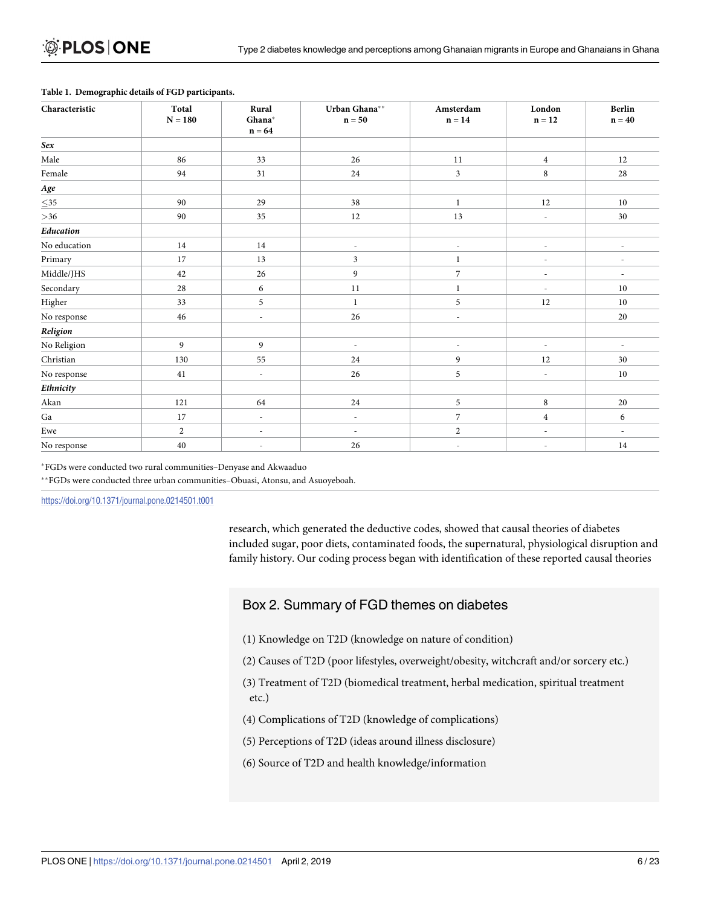| Characteristic | Total<br>$\mathbf{N} = \mathbf{180}$ | Rural<br>Ghana*<br>$n = 64$ | Urban Ghana**<br>$\mathbf{n} = \mathbf{50}$ | Amsterdam<br>$\mathbf{n} = \mathbf{14}$ | London<br>$n = 12$       | Berlin<br>$n = 40$       |
|----------------|--------------------------------------|-----------------------------|---------------------------------------------|-----------------------------------------|--------------------------|--------------------------|
| Sex            |                                      |                             |                                             |                                         |                          |                          |
| Male           | 86                                   | 33                          | 26                                          | 11                                      | $\overline{4}$           | 12                       |
| Female         | 94                                   | 31                          | 24                                          | $\mathfrak{Z}$                          | 8                        | 28                       |
| Age            |                                      |                             |                                             |                                         |                          |                          |
| $\leq 35$      | 90                                   | 29                          | 38                                          | $\mathbf{1}$                            | 12                       | 10                       |
| >36            | 90                                   | 35                          | 12                                          | 13                                      | $\overline{\phantom{a}}$ | 30                       |
| Education      |                                      |                             |                                             |                                         |                          |                          |
| No education   | 14                                   | 14                          | $\overline{\phantom{a}}$                    | $\overline{\phantom{a}}$                | $\overline{\phantom{a}}$ | $\overline{\phantom{a}}$ |
| Primary        | 17                                   | 13                          | $\mathfrak{Z}$                              | $\mathbf{1}$                            | $\overline{\phantom{a}}$ | $\overline{\phantom{a}}$ |
| Middle/JHS     | 42                                   | 26                          | 9                                           | $\overline{7}$                          | $\overline{\phantom{a}}$ | $\overline{\phantom{a}}$ |
| Secondary      | 28                                   | 6                           | 11                                          | $\mathbf{1}$                            | $\overline{a}$           | 10                       |
| Higher         | 33                                   | $\sqrt{5}$                  | $\mathbf{1}$                                | $\sqrt{5}$                              | 12                       | $10\,$                   |
| No response    | 46                                   | $\overline{\phantom{a}}$    | 26                                          | $\overline{\phantom{a}}$                |                          | 20                       |
| Religion       |                                      |                             |                                             |                                         |                          |                          |
| No Religion    | 9                                    | 9                           | $\overline{a}$                              | $\overline{a}$                          |                          | $\overline{\phantom{a}}$ |
| Christian      | 130                                  | 55                          | 24                                          | 9                                       | 12                       | $30\,$                   |
| No response    | 41                                   | $\overline{\phantom{a}}$    | 26                                          | 5                                       | $\overline{\phantom{a}}$ | 10                       |
| Ethnicity      |                                      |                             |                                             |                                         |                          |                          |
| Akan           | 121                                  | 64                          | 24                                          | $\sqrt{5}$                              | $\,8\,$                  | 20                       |
| Ga             | 17                                   | $\overline{\phantom{a}}$    | $\overline{\phantom{a}}$                    | $\sqrt{ }$                              | $\overline{4}$           | 6                        |
| Ewe            | $\overline{2}$                       | $\overline{\phantom{a}}$    | $\overline{\phantom{a}}$                    | $\overline{2}$                          | $\overline{\phantom{a}}$ | $\overline{\phantom{a}}$ |
| No response    | $40\,$                               | $\overline{\phantom{a}}$    | 26                                          | $\overline{\phantom{a}}$                | $\overline{\phantom{a}}$ | 14                       |

#### <span id="page-5-0"></span>**[Table](#page-4-0) 1. Demographic details of FGD participants.**

�FGDs were conducted two rural communities–Denyase and Akwaaduo

��FGDs were conducted three urban communities–Obuasi, Atonsu, and Asuoyeboah.

<https://doi.org/10.1371/journal.pone.0214501.t001>

research, which generated the deductive codes, showed that causal theories of diabetes included sugar, poor diets, contaminated foods, the supernatural, physiological disruption and family history. Our coding process began with identification of these reported causal theories

## Box 2. Summary of FGD themes on diabetes

(1) Knowledge on T2D (knowledge on nature of condition)

(2) Causes of T2D (poor lifestyles, overweight/obesity, witchcraft and/or sorcery etc.)

(3) Treatment of T2D (biomedical treatment, herbal medication, spiritual treatment etc.)

(4) Complications of T2D (knowledge of complications)

(5) Perceptions of T2D (ideas around illness disclosure)

(6) Source of T2D and health knowledge/information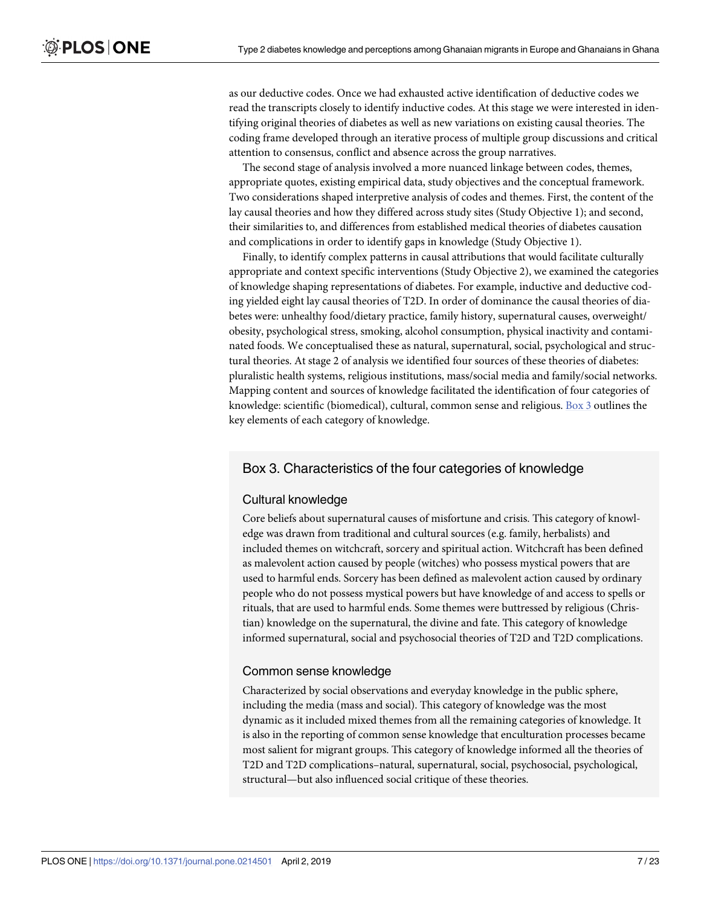<span id="page-6-0"></span>as our deductive codes. Once we had exhausted active identification of deductive codes we read the transcripts closely to identify inductive codes. At this stage we were interested in identifying original theories of diabetes as well as new variations on existing causal theories. The coding frame developed through an iterative process of multiple group discussions and critical attention to consensus, conflict and absence across the group narratives.

The second stage of analysis involved a more nuanced linkage between codes, themes, appropriate quotes, existing empirical data, study objectives and the conceptual framework. Two considerations shaped interpretive analysis of codes and themes. First, the content of the lay causal theories and how they differed across study sites (Study Objective 1); and second, their similarities to, and differences from established medical theories of diabetes causation and complications in order to identify gaps in knowledge (Study Objective 1).

Finally, to identify complex patterns in causal attributions that would facilitate culturally appropriate and context specific interventions (Study Objective 2), we examined the categories of knowledge shaping representations of diabetes. For example, inductive and deductive coding yielded eight lay causal theories of T2D. In order of dominance the causal theories of diabetes were: unhealthy food/dietary practice, family history, supernatural causes, overweight/ obesity, psychological stress, smoking, alcohol consumption, physical inactivity and contaminated foods. We conceptualised these as natural, supernatural, social, psychological and structural theories. At stage 2 of analysis we identified four sources of these theories of diabetes: pluralistic health systems, religious institutions, mass/social media and family/social networks. Mapping content and sources of knowledge facilitated the identification of four categories of knowledge: scientific (biomedical), cultural, common sense and religious. Box 3 outlines the key elements of each category of knowledge.

## Box 3. Characteristics of the four categories of knowledge

#### Cultural knowledge

Core beliefs about supernatural causes of misfortune and crisis. This category of knowledge was drawn from traditional and cultural sources (e.g. family, herbalists) and included themes on witchcraft, sorcery and spiritual action. Witchcraft has been defined as malevolent action caused by people (witches) who possess mystical powers that are used to harmful ends. Sorcery has been defined as malevolent action caused by ordinary people who do not possess mystical powers but have knowledge of and access to spells or rituals, that are used to harmful ends. Some themes were buttressed by religious (Christian) knowledge on the supernatural, the divine and fate. This category of knowledge informed supernatural, social and psychosocial theories of T2D and T2D complications.

#### Common sense knowledge

Characterized by social observations and everyday knowledge in the public sphere, including the media (mass and social). This category of knowledge was the most dynamic as it included mixed themes from all the remaining categories of knowledge. It is also in the reporting of common sense knowledge that enculturation processes became most salient for migrant groups. This category of knowledge informed all the theories of T2D and T2D complications–natural, supernatural, social, psychosocial, psychological, structural—but also influenced social critique of these theories.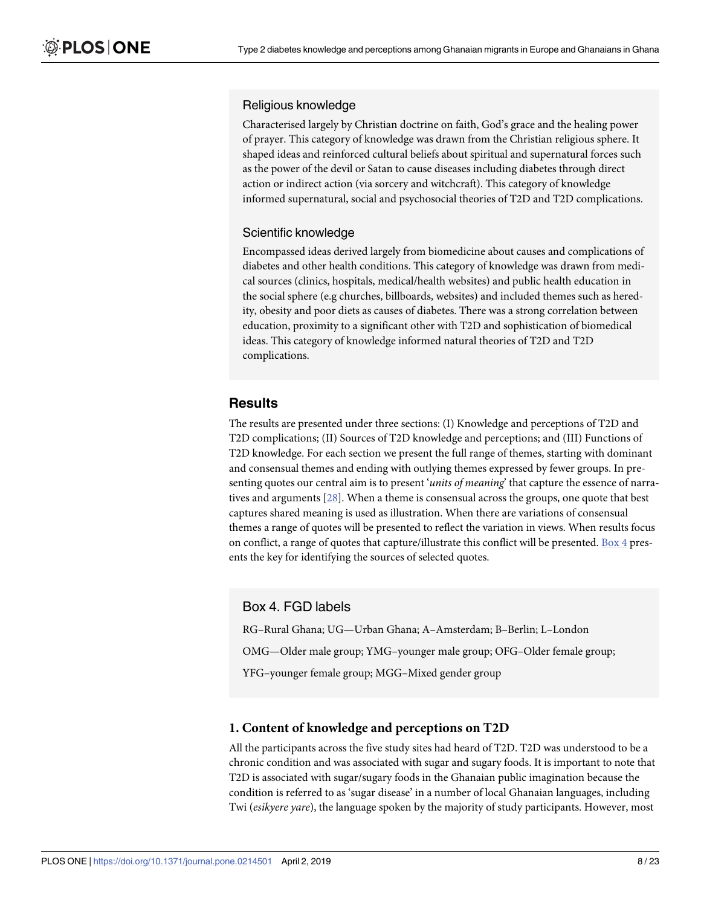#### <span id="page-7-0"></span>Religious knowledge

Characterised largely by Christian doctrine on faith, God's grace and the healing power of prayer. This category of knowledge was drawn from the Christian religious sphere. It shaped ideas and reinforced cultural beliefs about spiritual and supernatural forces such as the power of the devil or Satan to cause diseases including diabetes through direct action or indirect action (via sorcery and witchcraft). This category of knowledge informed supernatural, social and psychosocial theories of T2D and T2D complications.

#### Scientific knowledge

Encompassed ideas derived largely from biomedicine about causes and complications of diabetes and other health conditions. This category of knowledge was drawn from medical sources (clinics, hospitals, medical/health websites) and public health education in the social sphere (e.g churches, billboards, websites) and included themes such as heredity, obesity and poor diets as causes of diabetes. There was a strong correlation between education, proximity to a significant other with T2D and sophistication of biomedical ideas. This category of knowledge informed natural theories of T2D and T2D complications.

## **Results**

The results are presented under three sections: (I) Knowledge and perceptions of T2D and T2D complications; (II) Sources of T2D knowledge and perceptions; and (III) Functions of T2D knowledge. For each section we present the full range of themes, starting with dominant and consensual themes and ending with outlying themes expressed by fewer groups. In presenting quotes our central aim is to present '*units of meaning*' that capture the essence of narratives and arguments [[28](#page-22-0)]. When a theme is consensual across the groups, one quote that best captures shared meaning is used as illustration. When there are variations of consensual themes a range of quotes will be presented to reflect the variation in views. When results focus on conflict, a range of quotes that capture/illustrate this conflict will be presented. Box 4 presents the key for identifying the sources of selected quotes.

#### Box 4. FGD labels

RG–Rural Ghana; UG—Urban Ghana; A–Amsterdam; B–Berlin; L–London

OMG—Older male group; YMG–younger male group; OFG–Older female group;

YFG–younger female group; MGG–Mixed gender group

#### **1. Content of knowledge and perceptions on T2D**

All the participants across the five study sites had heard of T2D. T2D was understood to be a chronic condition and was associated with sugar and sugary foods. It is important to note that T2D is associated with sugar/sugary foods in the Ghanaian public imagination because the condition is referred to as 'sugar disease' in a number of local Ghanaian languages, including Twi (*esikyere yare*), the language spoken by the majority of study participants. However, most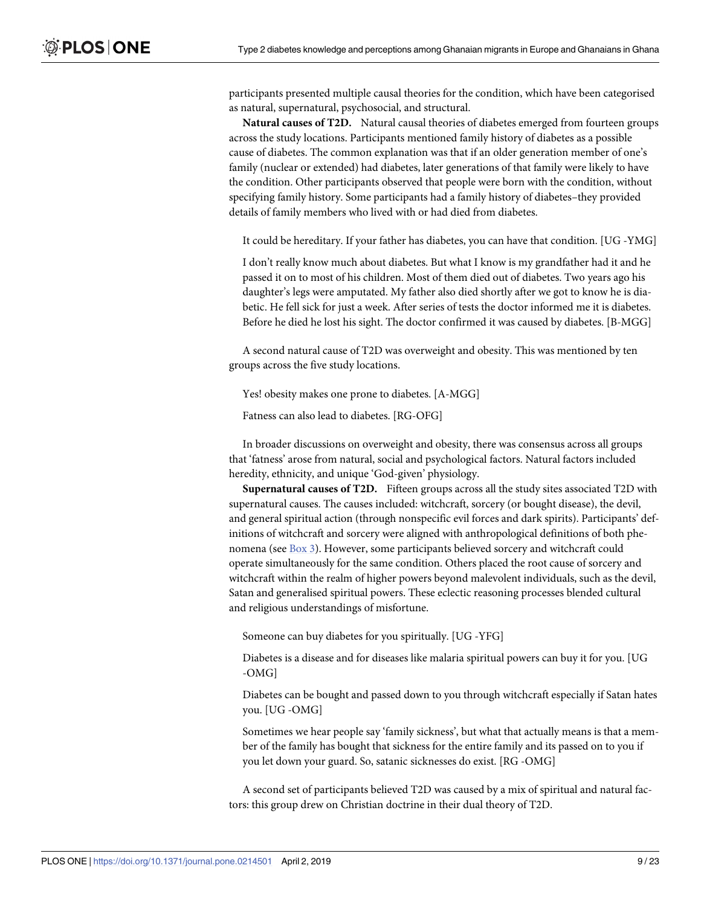participants presented multiple causal theories for the condition, which have been categorised as natural, supernatural, psychosocial, and structural.

**Natural causes of T2D.** Natural causal theories of diabetes emerged from fourteen groups across the study locations. Participants mentioned family history of diabetes as a possible cause of diabetes. The common explanation was that if an older generation member of one's family (nuclear or extended) had diabetes, later generations of that family were likely to have the condition. Other participants observed that people were born with the condition, without specifying family history. Some participants had a family history of diabetes–they provided details of family members who lived with or had died from diabetes.

It could be hereditary. If your father has diabetes, you can have that condition. [UG -YMG]

I don't really know much about diabetes. But what I know is my grandfather had it and he passed it on to most of his children. Most of them died out of diabetes. Two years ago his daughter's legs were amputated. My father also died shortly after we got to know he is diabetic. He fell sick for just a week. After series of tests the doctor informed me it is diabetes. Before he died he lost his sight. The doctor confirmed it was caused by diabetes. [B-MGG]

A second natural cause of T2D was overweight and obesity. This was mentioned by ten groups across the five study locations.

Yes! obesity makes one prone to diabetes. [A-MGG]

Fatness can also lead to diabetes. [RG-OFG]

In broader discussions on overweight and obesity, there was consensus across all groups that 'fatness' arose from natural, social and psychological factors. Natural factors included heredity, ethnicity, and unique 'God-given' physiology.

**Supernatural causes of T2D.** Fifteen groups across all the study sites associated T2D with supernatural causes. The causes included: witchcraft, sorcery (or bought disease), the devil, and general spiritual action (through nonspecific evil forces and dark spirits). Participants' definitions of witchcraft and sorcery were aligned with anthropological definitions of both phe-nomena (see [Box](#page-6-0) 3). However, some participants believed sorcery and witchcraft could operate simultaneously for the same condition. Others placed the root cause of sorcery and witchcraft within the realm of higher powers beyond malevolent individuals, such as the devil, Satan and generalised spiritual powers. These eclectic reasoning processes blended cultural and religious understandings of misfortune.

Someone can buy diabetes for you spiritually. [UG -YFG]

Diabetes is a disease and for diseases like malaria spiritual powers can buy it for you. [UG -OMG]

Diabetes can be bought and passed down to you through witchcraft especially if Satan hates you. [UG -OMG]

Sometimes we hear people say 'family sickness', but what that actually means is that a member of the family has bought that sickness for the entire family and its passed on to you if you let down your guard. So, satanic sicknesses do exist. [RG -OMG]

A second set of participants believed T2D was caused by a mix of spiritual and natural factors: this group drew on Christian doctrine in their dual theory of T2D.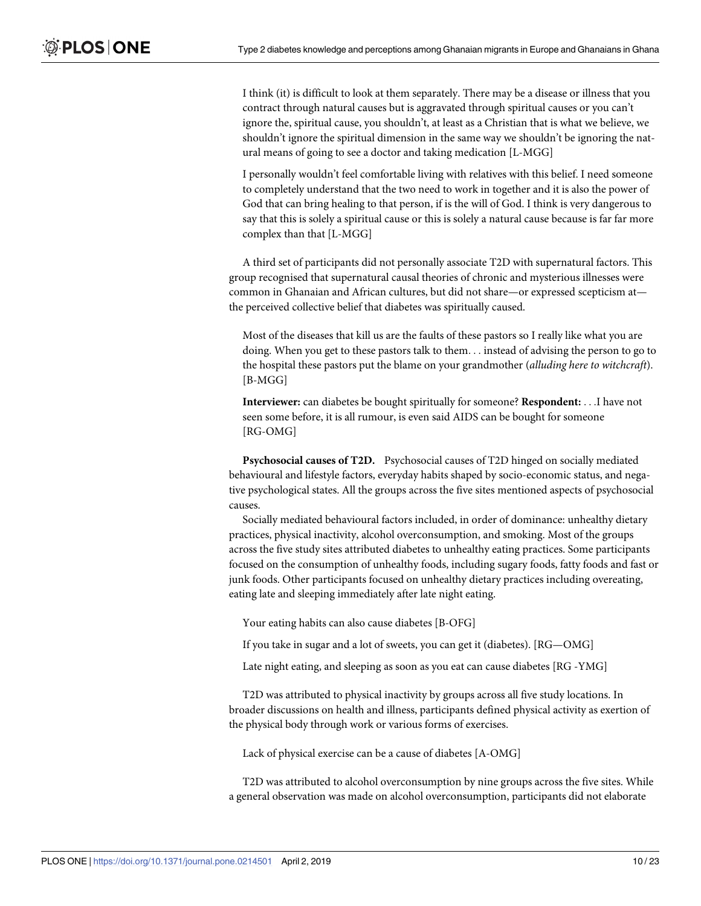I think (it) is difficult to look at them separately. There may be a disease or illness that you contract through natural causes but is aggravated through spiritual causes or you can't ignore the, spiritual cause, you shouldn't, at least as a Christian that is what we believe, we shouldn't ignore the spiritual dimension in the same way we shouldn't be ignoring the natural means of going to see a doctor and taking medication [L-MGG]

I personally wouldn't feel comfortable living with relatives with this belief. I need someone to completely understand that the two need to work in together and it is also the power of God that can bring healing to that person, if is the will of God. I think is very dangerous to say that this is solely a spiritual cause or this is solely a natural cause because is far far more complex than that [L-MGG]

A third set of participants did not personally associate T2D with supernatural factors. This group recognised that supernatural causal theories of chronic and mysterious illnesses were common in Ghanaian and African cultures, but did not share—or expressed scepticism at the perceived collective belief that diabetes was spiritually caused.

Most of the diseases that kill us are the faults of these pastors so I really like what you are doing. When you get to these pastors talk to them. . . instead of advising the person to go to the hospital these pastors put the blame on your grandmother (*alluding here to witchcraft*). [B-MGG]

**Interviewer:** can diabetes be bought spiritually for someone? **Respondent:** . . .I have not seen some before, it is all rumour, is even said AIDS can be bought for someone [RG-OMG]

**Psychosocial causes of T2D.** Psychosocial causes of T2D hinged on socially mediated behavioural and lifestyle factors, everyday habits shaped by socio-economic status, and negative psychological states. All the groups across the five sites mentioned aspects of psychosocial causes.

Socially mediated behavioural factors included, in order of dominance: unhealthy dietary practices, physical inactivity, alcohol overconsumption, and smoking. Most of the groups across the five study sites attributed diabetes to unhealthy eating practices. Some participants focused on the consumption of unhealthy foods, including sugary foods, fatty foods and fast or junk foods. Other participants focused on unhealthy dietary practices including overeating, eating late and sleeping immediately after late night eating.

Your eating habits can also cause diabetes [B-OFG]

If you take in sugar and a lot of sweets, you can get it (diabetes). [RG—OMG]

Late night eating, and sleeping as soon as you eat can cause diabetes [RG -YMG]

T2D was attributed to physical inactivity by groups across all five study locations. In broader discussions on health and illness, participants defined physical activity as exertion of the physical body through work or various forms of exercises.

Lack of physical exercise can be a cause of diabetes [A-OMG]

T2D was attributed to alcohol overconsumption by nine groups across the five sites. While a general observation was made on alcohol overconsumption, participants did not elaborate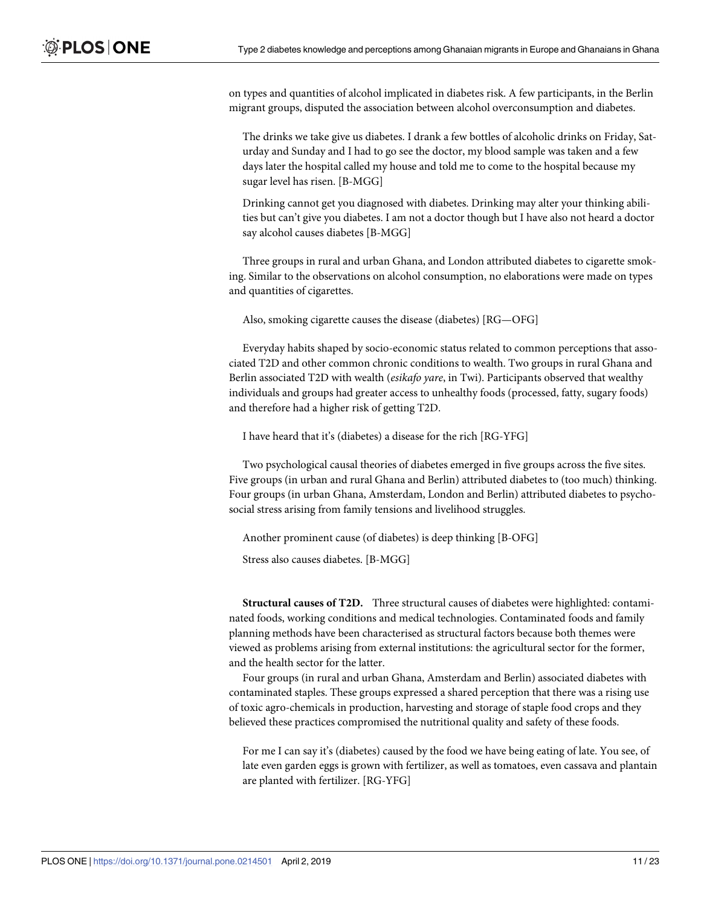on types and quantities of alcohol implicated in diabetes risk. A few participants, in the Berlin migrant groups, disputed the association between alcohol overconsumption and diabetes.

The drinks we take give us diabetes. I drank a few bottles of alcoholic drinks on Friday, Saturday and Sunday and I had to go see the doctor, my blood sample was taken and a few days later the hospital called my house and told me to come to the hospital because my sugar level has risen. [B-MGG]

Drinking cannot get you diagnosed with diabetes. Drinking may alter your thinking abilities but can't give you diabetes. I am not a doctor though but I have also not heard a doctor say alcohol causes diabetes [B-MGG]

Three groups in rural and urban Ghana, and London attributed diabetes to cigarette smoking. Similar to the observations on alcohol consumption, no elaborations were made on types and quantities of cigarettes.

Also, smoking cigarette causes the disease (diabetes) [RG—OFG]

Everyday habits shaped by socio-economic status related to common perceptions that associated T2D and other common chronic conditions to wealth. Two groups in rural Ghana and Berlin associated T2D with wealth (*esikafo yare*, in Twi). Participants observed that wealthy individuals and groups had greater access to unhealthy foods (processed, fatty, sugary foods) and therefore had a higher risk of getting T2D.

I have heard that it's (diabetes) a disease for the rich [RG-YFG]

Two psychological causal theories of diabetes emerged in five groups across the five sites. Five groups (in urban and rural Ghana and Berlin) attributed diabetes to (too much) thinking. Four groups (in urban Ghana, Amsterdam, London and Berlin) attributed diabetes to psychosocial stress arising from family tensions and livelihood struggles.

Another prominent cause (of diabetes) is deep thinking [B-OFG]

Stress also causes diabetes. [B-MGG]

**Structural causes of T2D.** Three structural causes of diabetes were highlighted: contaminated foods, working conditions and medical technologies. Contaminated foods and family planning methods have been characterised as structural factors because both themes were viewed as problems arising from external institutions: the agricultural sector for the former, and the health sector for the latter.

Four groups (in rural and urban Ghana, Amsterdam and Berlin) associated diabetes with contaminated staples. These groups expressed a shared perception that there was a rising use of toxic agro-chemicals in production, harvesting and storage of staple food crops and they believed these practices compromised the nutritional quality and safety of these foods.

For me I can say it's (diabetes) caused by the food we have being eating of late. You see, of late even garden eggs is grown with fertilizer, as well as tomatoes, even cassava and plantain are planted with fertilizer. [RG-YFG]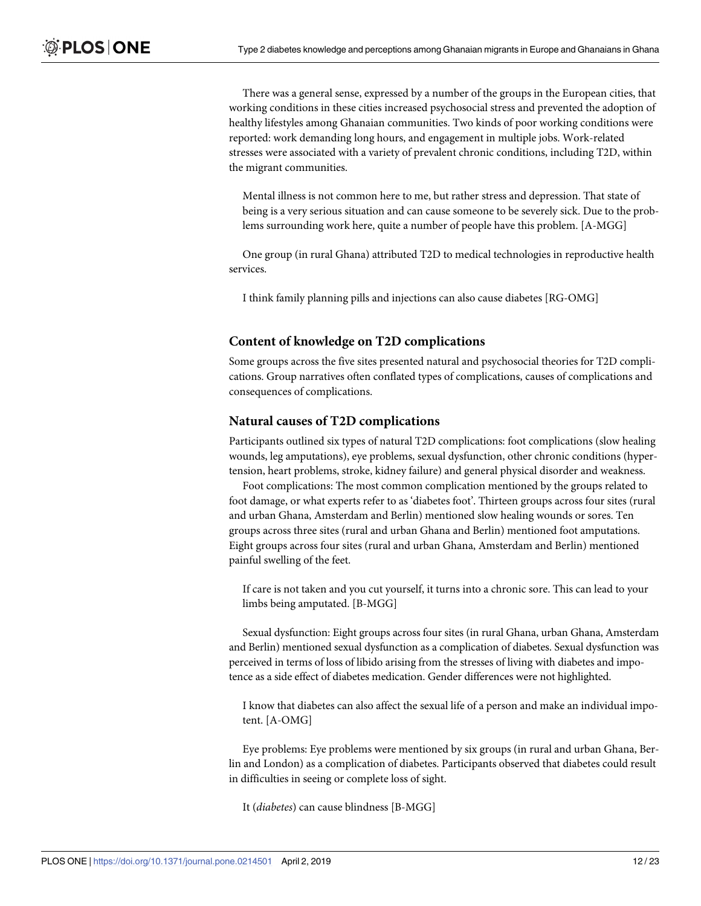There was a general sense, expressed by a number of the groups in the European cities, that working conditions in these cities increased psychosocial stress and prevented the adoption of healthy lifestyles among Ghanaian communities. Two kinds of poor working conditions were reported: work demanding long hours, and engagement in multiple jobs. Work-related stresses were associated with a variety of prevalent chronic conditions, including T2D, within the migrant communities.

Mental illness is not common here to me, but rather stress and depression. That state of being is a very serious situation and can cause someone to be severely sick. Due to the problems surrounding work here, quite a number of people have this problem. [A-MGG]

One group (in rural Ghana) attributed T2D to medical technologies in reproductive health services.

I think family planning pills and injections can also cause diabetes [RG-OMG]

### **Content of knowledge on T2D complications**

Some groups across the five sites presented natural and psychosocial theories for T2D complications. Group narratives often conflated types of complications, causes of complications and consequences of complications.

### **Natural causes of T2D complications**

Participants outlined six types of natural T2D complications: foot complications (slow healing wounds, leg amputations), eye problems, sexual dysfunction, other chronic conditions (hypertension, heart problems, stroke, kidney failure) and general physical disorder and weakness.

Foot complications: The most common complication mentioned by the groups related to foot damage, or what experts refer to as 'diabetes foot'. Thirteen groups across four sites (rural and urban Ghana, Amsterdam and Berlin) mentioned slow healing wounds or sores. Ten groups across three sites (rural and urban Ghana and Berlin) mentioned foot amputations. Eight groups across four sites (rural and urban Ghana, Amsterdam and Berlin) mentioned painful swelling of the feet.

If care is not taken and you cut yourself, it turns into a chronic sore. This can lead to your limbs being amputated. [B-MGG]

Sexual dysfunction: Eight groups across four sites (in rural Ghana, urban Ghana, Amsterdam and Berlin) mentioned sexual dysfunction as a complication of diabetes. Sexual dysfunction was perceived in terms of loss of libido arising from the stresses of living with diabetes and impotence as a side effect of diabetes medication. Gender differences were not highlighted.

I know that diabetes can also affect the sexual life of a person and make an individual impotent. [A-OMG]

Eye problems: Eye problems were mentioned by six groups (in rural and urban Ghana, Berlin and London) as a complication of diabetes. Participants observed that diabetes could result in difficulties in seeing or complete loss of sight.

It (*diabetes*) can cause blindness [B-MGG]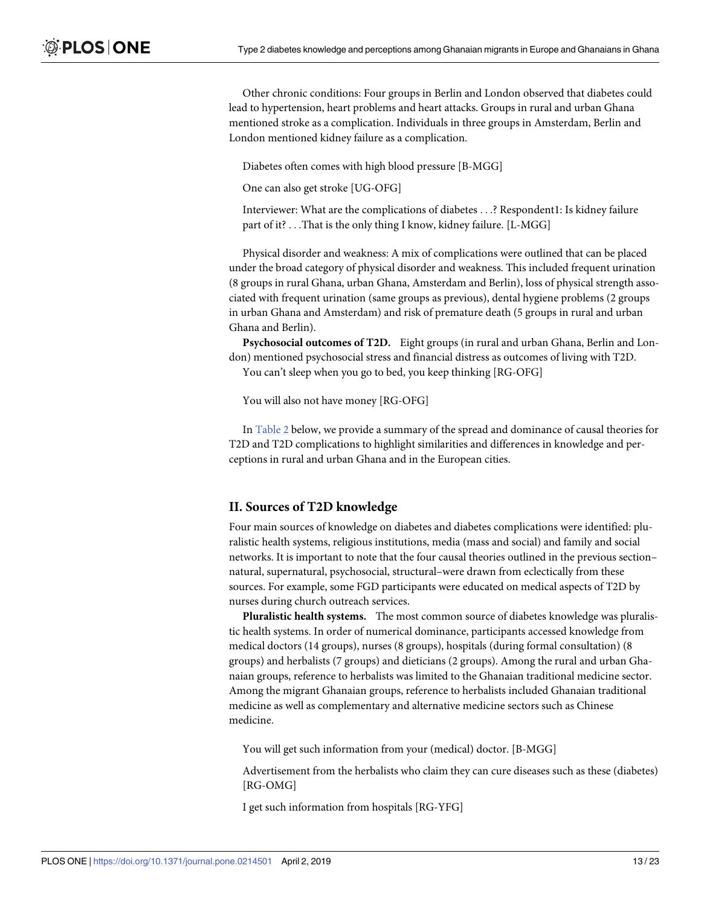<span id="page-12-0"></span>Other chronic conditions: Four groups in Berlin and London observed that diabetes could lead to hypertension, heart problems and heart attacks. Groups in rural and urban Ghana mentioned stroke as a complication. Individuals in three groups in Amsterdam, Berlin and London mentioned kidney failure as a complication.

Diabetes often comes with high blood pressure [B-MGG]

One can also get stroke [UG-OFG]

Interviewer: What are the complications of diabetes . . .? Respondent1: Is kidney failure part of it? . . .That is the only thing I know, kidney failure. [L-MGG]

Physical disorder and weakness: A mix of complications were outlined that can be placed under the broad category of physical disorder and weakness. This included frequent urination (8 groups in rural Ghana, urban Ghana, Amsterdam and Berlin), loss of physical strength associated with frequent urination (same groups as previous), dental hygiene problems (2 groups in urban Ghana and Amsterdam) and risk of premature death (5 groups in rural and urban Ghana and Berlin).

**Psychosocial outcomes of T2D.** Eight groups (in rural and urban Ghana, Berlin and London) mentioned psychosocial stress and financial distress as outcomes of living with T2D. You can't sleep when you go to bed, you keep thinking [RG-OFG]

You will also not have money [RG-OFG]

In [Table](#page-13-0) 2 below, we provide a summary of the spread and dominance of causal theories for T2D and T2D complications to highlight similarities and differences in knowledge and perceptions in rural and urban Ghana and in the European cities.

#### **II. Sources of T2D knowledge**

Four main sources of knowledge on diabetes and diabetes complications were identified: pluralistic health systems, religious institutions, media (mass and social) and family and social networks. It is important to note that the four causal theories outlined in the previous section– natural, supernatural, psychosocial, structural–were drawn from eclectically from these sources. For example, some FGD participants were educated on medical aspects of T2D by nurses during church outreach services.

**Pluralistic health systems.** The most common source of diabetes knowledge was pluralistic health systems. In order of numerical dominance, participants accessed knowledge from medical doctors (14 groups), nurses (8 groups), hospitals (during formal consultation) (8 groups) and herbalists (7 groups) and dieticians (2 groups). Among the rural and urban Ghanaian groups, reference to herbalists was limited to the Ghanaian traditional medicine sector. Among the migrant Ghanaian groups, reference to herbalists included Ghanaian traditional medicine as well as complementary and alternative medicine sectors such as Chinese medicine.

You will get such information from your (medical) doctor. [B-MGG]

Advertisement from the herbalists who claim they can cure diseases such as these (diabetes) [RG-OMG]

I get such information from hospitals [RG-YFG]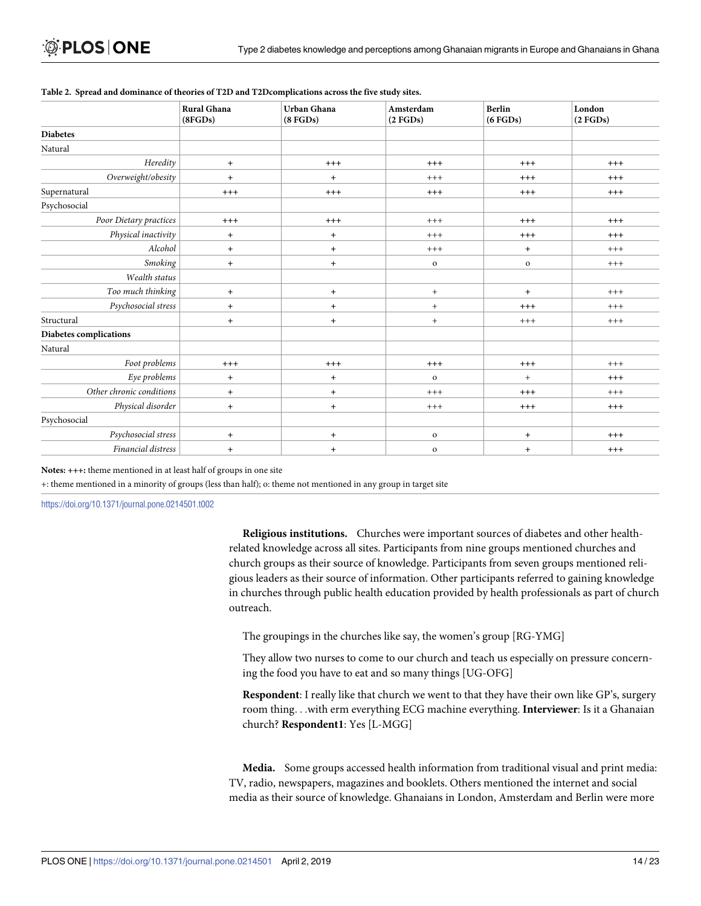|                          | <b>Rural Ghana</b><br>(8FGDs) | <b>Urban Ghana</b><br>(8 FGDs) | Amsterdam<br>(2 FGDs) | <b>Berlin</b><br>(6 FGDs) | London<br>(2 FGDs) |
|--------------------------|-------------------------------|--------------------------------|-----------------------|---------------------------|--------------------|
| <b>Diabetes</b>          |                               |                                |                       |                           |                    |
| Natural                  |                               |                                |                       |                           |                    |
| Heredity                 | $+$                           | $+++$                          | $^{+++}$              | $^{+++}$                  | $+++$              |
| Overweight/obesity       | $+$                           | $+$                            | $^{+++}$              | $^{+++}$                  | $^{+++}$           |
| Supernatural             | $^{+++}$                      | $+++$                          | $^{+++}$              | $^{+++}$                  | $^{+++}$           |
| Psychosocial             |                               |                                |                       |                           |                    |
| Poor Dietary practices   | $^{+++}$                      | $+++$                          | $+++$                 | $+++$                     | $^{+++}$           |
| Physical inactivity      | $+$                           | $+$                            | $^{+++}$              | $^{+++}$                  | $^{+++}$           |
| Alcohol                  | $+$                           | $+$                            | $^{+++}$              | $\ddot{}$                 | $++++$             |
| Smoking                  | $+$                           | $+$                            | $\mathbf{o}$          | $\mathbf{o}$              | $++++$             |
| Wealth status            |                               |                                |                       |                           |                    |
| Too much thinking        | $+$                           | $+$                            | $\,$ + $\,$           | $+$                       | $+++$              |
| Psychosocial stress      | $+$                           | $+$                            | $+$                   | $+++$                     | $+++$              |
| Structural               | $+$                           | $+$                            | $+$                   | $^{+++}$                  | $++++$             |
| Diabetes complications   |                               |                                |                       |                           |                    |
| Natural                  |                               |                                |                       |                           |                    |
| Foot problems            | $^{+++}$                      | $+++$                          | $^{+++}$              | $^{+++}$                  | $+++$              |
| Eye problems             | $+$                           | $+$                            | $\mathbf{o}$          | $+$                       | $^{+++}$           |
| Other chronic conditions | $+$                           | $+$                            | $+++$                 | $^{+++}$                  | $++++$             |
| Physical disorder        | $\ddot{}$                     | $+$                            | $^{+++}$              | $^{+++}$                  | $^{+++}$           |
| Psychosocial             |                               |                                |                       |                           |                    |
| Psychosocial stress      | $\ddot{}$                     | $\ddot{}$                      | $\mathbf{o}$          | $\ddot{}$                 | $+++$              |
| Financial distress       | $\ddot{}$                     | $+$                            | $\mathbf{o}$          | $+$                       | $+++$              |

#### <span id="page-13-0"></span>**[Table](#page-12-0) 2. Spread and dominance of theories of T2D and T2Dcomplications across the five study sites.**

**Notes: +++:** theme mentioned in at least half of groups in one site

+: theme mentioned in a minority of groups (less than half); o: theme not mentioned in any group in target site

<https://doi.org/10.1371/journal.pone.0214501.t002>

**Religious institutions.** Churches were important sources of diabetes and other healthrelated knowledge across all sites. Participants from nine groups mentioned churches and church groups as their source of knowledge. Participants from seven groups mentioned religious leaders as their source of information. Other participants referred to gaining knowledge in churches through public health education provided by health professionals as part of church outreach.

The groupings in the churches like say, the women's group [RG-YMG]

They allow two nurses to come to our church and teach us especially on pressure concerning the food you have to eat and so many things [UG-OFG]

**Respondent**: I really like that church we went to that they have their own like GP's, surgery room thing. . .with erm everything ECG machine everything. **Interviewer**: Is it a Ghanaian church? **Respondent1**: Yes [L-MGG]

**Media.** Some groups accessed health information from traditional visual and print media: TV, radio, newspapers, magazines and booklets. Others mentioned the internet and social media as their source of knowledge. Ghanaians in London, Amsterdam and Berlin were more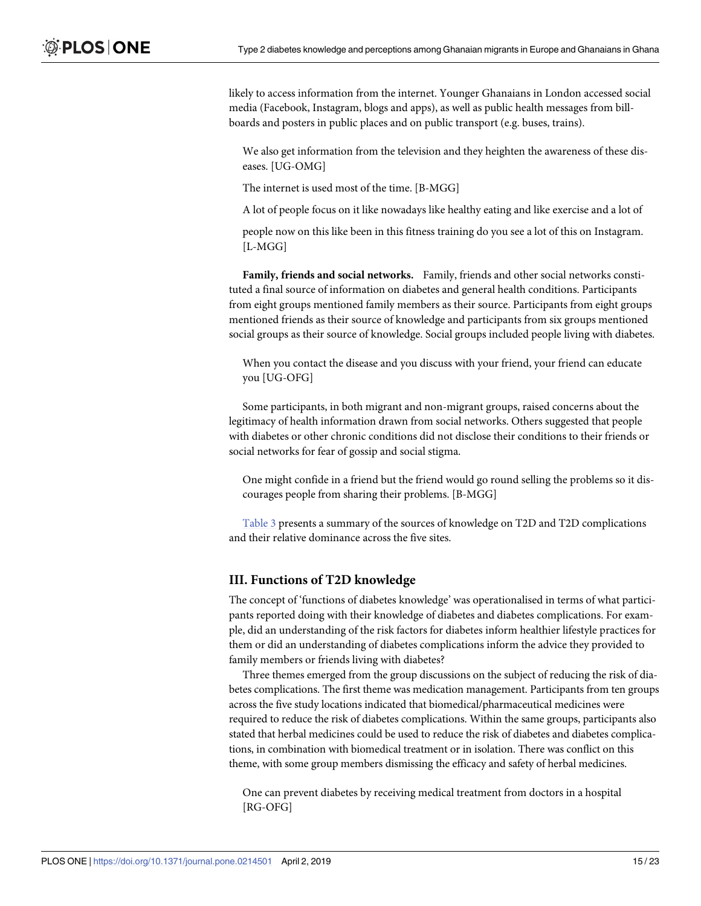<span id="page-14-0"></span>likely to access information from the internet. Younger Ghanaians in London accessed social media (Facebook, Instagram, blogs and apps), as well as public health messages from billboards and posters in public places and on public transport (e.g. buses, trains).

We also get information from the television and they heighten the awareness of these diseases. [UG-OMG]

The internet is used most of the time. [B-MGG]

A lot of people focus on it like nowadays like healthy eating and like exercise and a lot of

people now on this like been in this fitness training do you see a lot of this on Instagram. [L-MGG]

**Family, friends and social networks.** Family, friends and other social networks constituted a final source of information on diabetes and general health conditions. Participants from eight groups mentioned family members as their source. Participants from eight groups mentioned friends as their source of knowledge and participants from six groups mentioned social groups as their source of knowledge. Social groups included people living with diabetes.

When you contact the disease and you discuss with your friend, your friend can educate you [UG-OFG]

Some participants, in both migrant and non-migrant groups, raised concerns about the legitimacy of health information drawn from social networks. Others suggested that people with diabetes or other chronic conditions did not disclose their conditions to their friends or social networks for fear of gossip and social stigma.

One might confide in a friend but the friend would go round selling the problems so it discourages people from sharing their problems. [B-MGG]

[Table](#page-15-0) 3 presents a summary of the sources of knowledge on T2D and T2D complications and their relative dominance across the five sites.

#### **III. Functions of T2D knowledge**

The concept of 'functions of diabetes knowledge' was operationalised in terms of what participants reported doing with their knowledge of diabetes and diabetes complications. For example, did an understanding of the risk factors for diabetes inform healthier lifestyle practices for them or did an understanding of diabetes complications inform the advice they provided to family members or friends living with diabetes?

Three themes emerged from the group discussions on the subject of reducing the risk of diabetes complications. The first theme was medication management. Participants from ten groups across the five study locations indicated that biomedical/pharmaceutical medicines were required to reduce the risk of diabetes complications. Within the same groups, participants also stated that herbal medicines could be used to reduce the risk of diabetes and diabetes complications, in combination with biomedical treatment or in isolation. There was conflict on this theme, with some group members dismissing the efficacy and safety of herbal medicines.

One can prevent diabetes by receiving medical treatment from doctors in a hospital [RG-OFG]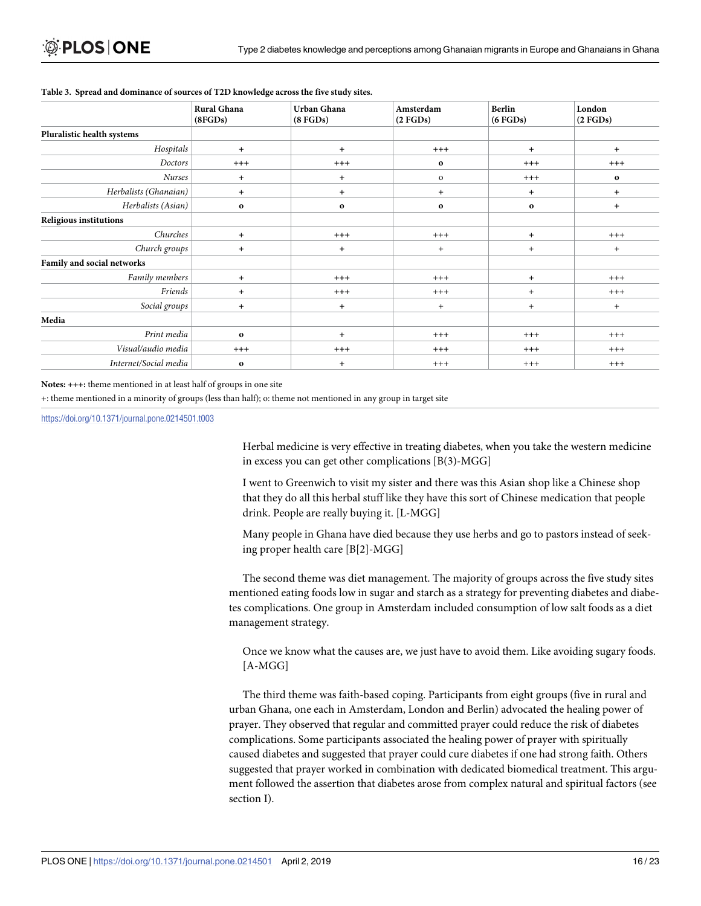|                               | <b>Rural Ghana</b><br>(8FGDs) | Urban Ghana<br>(8 FGDs) | Amsterdam<br>(2 FGDs) | <b>Berlin</b><br>(6 FGDs) | London<br>(2 FGDs) |
|-------------------------------|-------------------------------|-------------------------|-----------------------|---------------------------|--------------------|
| Pluralistic health systems    |                               |                         |                       |                           |                    |
| Hospitals                     | $+$                           | $+$                     | $^{+++}$              | $+$                       | $\ddot{}$          |
| Doctors                       | $+++$                         | $^{+++}$                | $\bf o$               | $+++$                     | $+++$              |
| Nurses                        | $+$                           | $+$                     | $\mathbf{o}$          | $^{+++}$                  | $\mathbf{o}$       |
| Herbalists (Ghanaian)         | $+$                           | $+$                     | $\ddot{}$             | $+$                       | $+$                |
| Herbalists (Asian)            | $\bf o$                       | $\bf{o}$                | $\bf o$               | $\bf o$                   | $+$                |
| <b>Religious institutions</b> |                               |                         |                       |                           |                    |
| Churches                      | $+$                           | $^{+++}$                | $+++$                 | $+$                       | $+++$              |
| Church groups                 | $+$                           | $+$                     | $+$                   | $+$                       | $+$                |
| Family and social networks    |                               |                         |                       |                           |                    |
| Family members                | $+$                           | $^{+++}$                | $+++$                 | $+$                       | $+++$              |
| Friends                       | $+$                           | $+++$                   | $+++$                 | $+$                       | $+++$              |
| Social groups                 | $+$                           | $+$                     | $+$                   | $+$                       | $+$                |
| Media                         |                               |                         |                       |                           |                    |
| Print media                   | $\bf o$                       | $+$                     | $+++$                 | $+++$                     | $+++$              |
| Visual/audio media            | $^{+++}$                      | $^{+++}$                | $^{+++}$              | $+++$                     | $+++$              |
| Internet/Social media         | $\mathbf{o}$                  | $+$                     | $+++$                 | $+++$                     | $^{+++}$           |

#### <span id="page-15-0"></span>**[Table](#page-14-0) 3. Spread and dominance of sources of T2D knowledge across the five study sites.**

**Notes: +++:** theme mentioned in at least half of groups in one site

+: theme mentioned in a minority of groups (less than half); o: theme not mentioned in any group in target site

<https://doi.org/10.1371/journal.pone.0214501.t003>

Herbal medicine is very effective in treating diabetes, when you take the western medicine in excess you can get other complications [B(3)-MGG]

I went to Greenwich to visit my sister and there was this Asian shop like a Chinese shop that they do all this herbal stuff like they have this sort of Chinese medication that people drink. People are really buying it. [L-MGG]

Many people in Ghana have died because they use herbs and go to pastors instead of seeking proper health care [B[2]-MGG]

The second theme was diet management. The majority of groups across the five study sites mentioned eating foods low in sugar and starch as a strategy for preventing diabetes and diabetes complications. One group in Amsterdam included consumption of low salt foods as a diet management strategy.

Once we know what the causes are, we just have to avoid them. Like avoiding sugary foods. [A-MGG]

The third theme was faith-based coping. Participants from eight groups (five in rural and urban Ghana, one each in Amsterdam, London and Berlin) advocated the healing power of prayer. They observed that regular and committed prayer could reduce the risk of diabetes complications. Some participants associated the healing power of prayer with spiritually caused diabetes and suggested that prayer could cure diabetes if one had strong faith. Others suggested that prayer worked in combination with dedicated biomedical treatment. This argument followed the assertion that diabetes arose from complex natural and spiritual factors (see section I).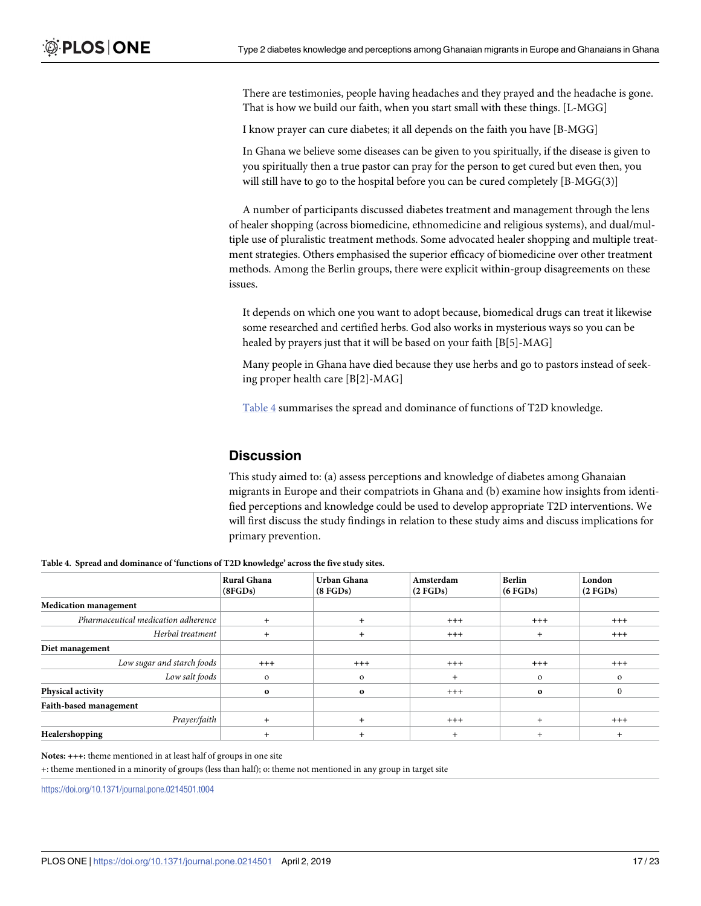There are testimonies, people having headaches and they prayed and the headache is gone. That is how we build our faith, when you start small with these things. [L-MGG]

I know prayer can cure diabetes; it all depends on the faith you have [B-MGG]

In Ghana we believe some diseases can be given to you spiritually, if the disease is given to you spiritually then a true pastor can pray for the person to get cured but even then, you will still have to go to the hospital before you can be cured completely [B-MGG(3)]

A number of participants discussed diabetes treatment and management through the lens of healer shopping (across biomedicine, ethnomedicine and religious systems), and dual/multiple use of pluralistic treatment methods. Some advocated healer shopping and multiple treatment strategies. Others emphasised the superior efficacy of biomedicine over other treatment methods. Among the Berlin groups, there were explicit within-group disagreements on these issues.

It depends on which one you want to adopt because, biomedical drugs can treat it likewise some researched and certified herbs. God also works in mysterious ways so you can be healed by prayers just that it will be based on your faith [B[5]-MAG]

Many people in Ghana have died because they use herbs and go to pastors instead of seeking proper health care [B[2]-MAG]

Table 4 summarises the spread and dominance of functions of T2D knowledge.

## **Discussion**

This study aimed to: (a) assess perceptions and knowledge of diabetes among Ghanaian migrants in Europe and their compatriots in Ghana and (b) examine how insights from identified perceptions and knowledge could be used to develop appropriate T2D interventions. We will first discuss the study findings in relation to these study aims and discuss implications for primary prevention.

|                                     | <b>Rural Ghana</b><br>(8FGDs) | Urban Ghana<br>(8 FGDs) | Amsterdam<br>(2 FGDs) | <b>Berlin</b><br>(6 FGDs) | London<br>(2 FGDs) |
|-------------------------------------|-------------------------------|-------------------------|-----------------------|---------------------------|--------------------|
| <b>Medication management</b>        |                               |                         |                       |                           |                    |
| Pharmaceutical medication adherence |                               |                         | $^{+++}$              | $+++$                     | $^{+++}$           |
| Herbal treatment                    | $\ddot{}$                     | $\pm$                   | $+++$                 | $\overline{+}$            | $+++$              |
| Diet management                     |                               |                         |                       |                           |                    |
| Low sugar and starch foods          | $+++$                         | $+++$                   | $+++$                 | $+++$                     | $^{+++}$           |
| Low salt foods                      | $\Omega$                      | $\Omega$                | $+$                   | $\mathbf{o}$              | $\mathbf{o}$       |
| Physical activity                   | $\bf{o}$                      | $\Omega$                | $+++$                 | $\mathbf{o}$              | 0                  |
| Faith-based management              |                               |                         |                       |                           |                    |
| Prayer/faith                        | $\ddot{}$                     |                         | $+++$                 | $+$                       | $+++$              |
| Healershopping                      |                               |                         | $\ddot{}$             |                           | +                  |

**Table 4. Spread and dominance of 'functions of T2D knowledge' across the five study sites.**

#### **Notes: +++:** theme mentioned in at least half of groups in one site

+: theme mentioned in a minority of groups (less than half); o: theme not mentioned in any group in target site

<https://doi.org/10.1371/journal.pone.0214501.t004>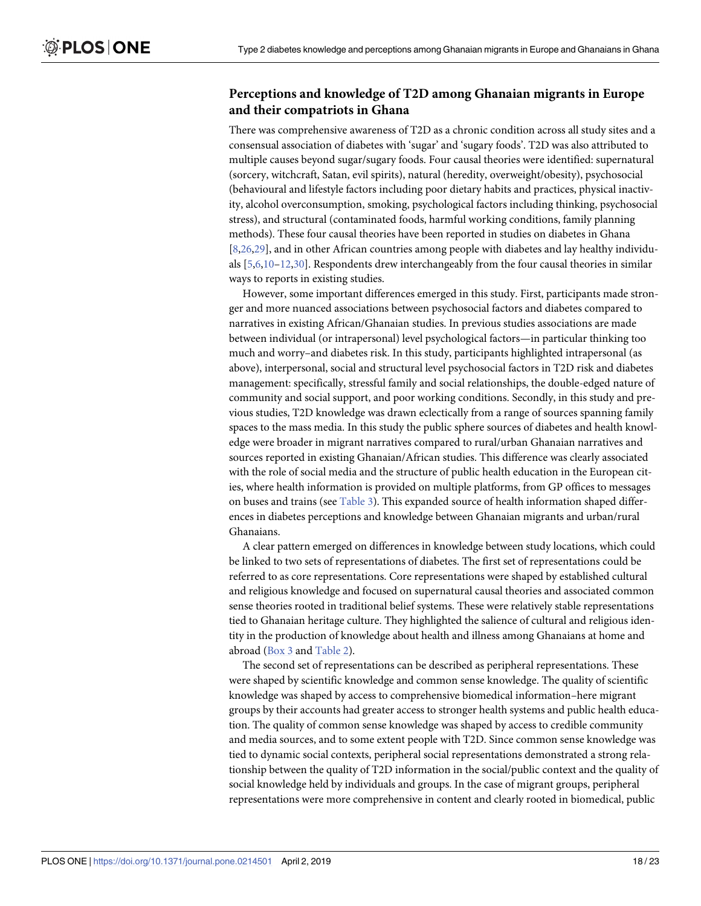## <span id="page-17-0"></span>**Perceptions and knowledge of T2D among Ghanaian migrants in Europe and their compatriots in Ghana**

There was comprehensive awareness of T2D as a chronic condition across all study sites and a consensual association of diabetes with 'sugar' and 'sugary foods'. T2D was also attributed to multiple causes beyond sugar/sugary foods. Four causal theories were identified: supernatural (sorcery, witchcraft, Satan, evil spirits), natural (heredity, overweight/obesity), psychosocial (behavioural and lifestyle factors including poor dietary habits and practices, physical inactivity, alcohol overconsumption, smoking, psychological factors including thinking, psychosocial stress), and structural (contaminated foods, harmful working conditions, family planning methods). These four causal theories have been reported in studies on diabetes in Ghana [\[8](#page-21-0)[,26,29\]](#page-22-0), and in other African countries among people with diabetes and lay healthy individuals  $[5,6,10-12,30]$  $[5,6,10-12,30]$ . Respondents drew interchangeably from the four causal theories in similar ways to reports in existing studies.

However, some important differences emerged in this study. First, participants made stronger and more nuanced associations between psychosocial factors and diabetes compared to narratives in existing African/Ghanaian studies. In previous studies associations are made between individual (or intrapersonal) level psychological factors—in particular thinking too much and worry–and diabetes risk. In this study, participants highlighted intrapersonal (as above), interpersonal, social and structural level psychosocial factors in T2D risk and diabetes management: specifically, stressful family and social relationships, the double-edged nature of community and social support, and poor working conditions. Secondly, in this study and previous studies, T2D knowledge was drawn eclectically from a range of sources spanning family spaces to the mass media. In this study the public sphere sources of diabetes and health knowledge were broader in migrant narratives compared to rural/urban Ghanaian narratives and sources reported in existing Ghanaian/African studies. This difference was clearly associated with the role of social media and the structure of public health education in the European cities, where health information is provided on multiple platforms, from GP offices to messages on buses and trains (see [Table](#page-15-0) 3). This expanded source of health information shaped differences in diabetes perceptions and knowledge between Ghanaian migrants and urban/rural Ghanaians.

A clear pattern emerged on differences in knowledge between study locations, which could be linked to two sets of representations of diabetes. The first set of representations could be referred to as core representations. Core representations were shaped by established cultural and religious knowledge and focused on supernatural causal theories and associated common sense theories rooted in traditional belief systems. These were relatively stable representations tied to Ghanaian heritage culture. They highlighted the salience of cultural and religious identity in the production of knowledge about health and illness among Ghanaians at home and abroad [\(Box](#page-6-0) 3 and [Table](#page-13-0) 2).

The second set of representations can be described as peripheral representations. These were shaped by scientific knowledge and common sense knowledge. The quality of scientific knowledge was shaped by access to comprehensive biomedical information–here migrant groups by their accounts had greater access to stronger health systems and public health education. The quality of common sense knowledge was shaped by access to credible community and media sources, and to some extent people with T2D. Since common sense knowledge was tied to dynamic social contexts, peripheral social representations demonstrated a strong relationship between the quality of T2D information in the social/public context and the quality of social knowledge held by individuals and groups. In the case of migrant groups, peripheral representations were more comprehensive in content and clearly rooted in biomedical, public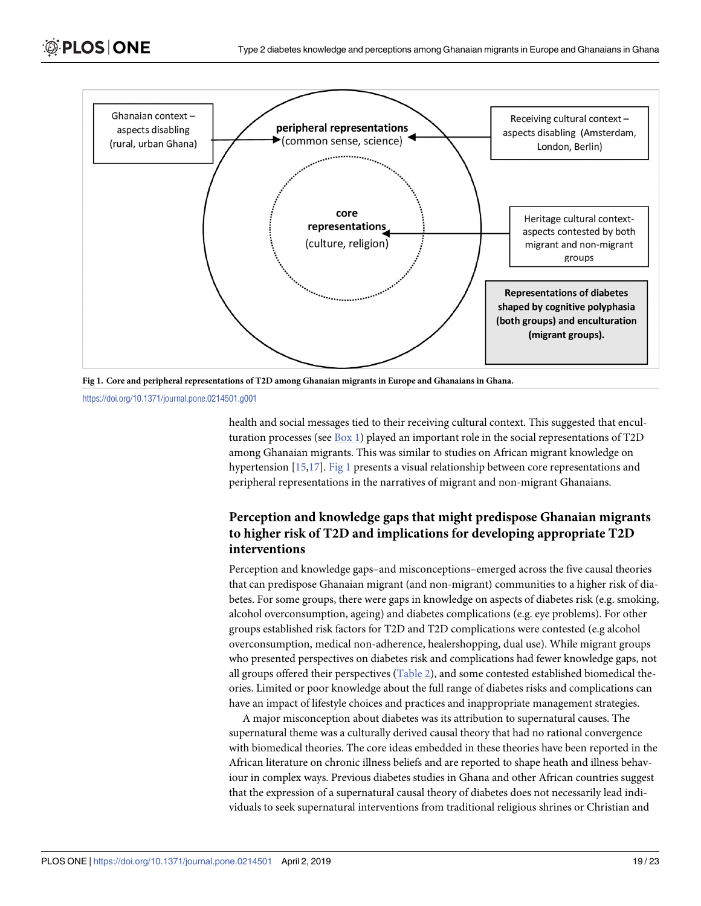

Fig 1. Core and peripheral representations of T2D among Ghanaian migrants in Europe and Ghanaians in Ghana.

<https://doi.org/10.1371/journal.pone.0214501.g001>

health and social messages tied to their receiving cultural context. This suggested that enculturation processes (see  $Box 1$  $Box 1$ ) played an important role in the social representations of T2D among Ghanaian migrants. This was similar to studies on African migrant knowledge on hypertension [\[15,17](#page-22-0)]. Fig 1 presents a visual relationship between core representations and peripheral representations in the narratives of migrant and non-migrant Ghanaians.

# **Perception and knowledge gaps that might predispose Ghanaian migrants to higher risk of T2D and implications for developing appropriate T2D interventions**

Perception and knowledge gaps–and misconceptions–emerged across the five causal theories that can predispose Ghanaian migrant (and non-migrant) communities to a higher risk of diabetes. For some groups, there were gaps in knowledge on aspects of diabetes risk (e.g. smoking, alcohol overconsumption, ageing) and diabetes complications (e.g. eye problems). For other groups established risk factors for T2D and T2D complications were contested (e.g alcohol overconsumption, medical non-adherence, healershopping, dual use). While migrant groups who presented perspectives on diabetes risk and complications had fewer knowledge gaps, not all groups offered their perspectives ([Table](#page-13-0) 2), and some contested established biomedical theories. Limited or poor knowledge about the full range of diabetes risks and complications can have an impact of lifestyle choices and practices and inappropriate management strategies.

A major misconception about diabetes was its attribution to supernatural causes. The supernatural theme was a culturally derived causal theory that had no rational convergence with biomedical theories. The core ideas embedded in these theories have been reported in the African literature on chronic illness beliefs and are reported to shape heath and illness behaviour in complex ways. Previous diabetes studies in Ghana and other African countries suggest that the expression of a supernatural causal theory of diabetes does not necessarily lead individuals to seek supernatural interventions from traditional religious shrines or Christian and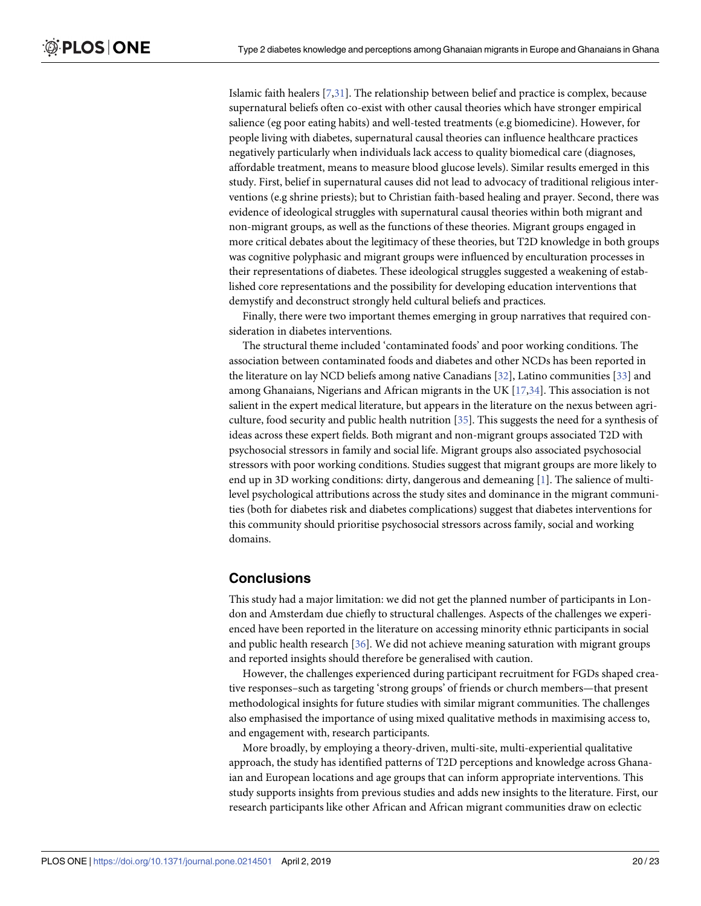<span id="page-19-0"></span>Islamic faith healers [[7,](#page-21-0)[31](#page-22-0)]. The relationship between belief and practice is complex, because supernatural beliefs often co-exist with other causal theories which have stronger empirical salience (eg poor eating habits) and well-tested treatments (e.g biomedicine). However, for people living with diabetes, supernatural causal theories can influence healthcare practices negatively particularly when individuals lack access to quality biomedical care (diagnoses, affordable treatment, means to measure blood glucose levels). Similar results emerged in this study. First, belief in supernatural causes did not lead to advocacy of traditional religious interventions (e.g shrine priests); but to Christian faith-based healing and prayer. Second, there was evidence of ideological struggles with supernatural causal theories within both migrant and non-migrant groups, as well as the functions of these theories. Migrant groups engaged in more critical debates about the legitimacy of these theories, but T2D knowledge in both groups was cognitive polyphasic and migrant groups were influenced by enculturation processes in their representations of diabetes. These ideological struggles suggested a weakening of established core representations and the possibility for developing education interventions that demystify and deconstruct strongly held cultural beliefs and practices.

Finally, there were two important themes emerging in group narratives that required consideration in diabetes interventions.

The structural theme included 'contaminated foods' and poor working conditions. The association between contaminated foods and diabetes and other NCDs has been reported in the literature on lay NCD beliefs among native Canadians [[32](#page-22-0)], Latino communities [[33](#page-22-0)] and among Ghanaians, Nigerians and African migrants in the UK [\[17,34\]](#page-22-0). This association is not salient in the expert medical literature, but appears in the literature on the nexus between agriculture, food security and public health nutrition [[35](#page-22-0)]. This suggests the need for a synthesis of ideas across these expert fields. Both migrant and non-migrant groups associated T2D with psychosocial stressors in family and social life. Migrant groups also associated psychosocial stressors with poor working conditions. Studies suggest that migrant groups are more likely to end up in 3D working conditions: dirty, dangerous and demeaning [\[1\]](#page-21-0). The salience of multilevel psychological attributions across the study sites and dominance in the migrant communities (both for diabetes risk and diabetes complications) suggest that diabetes interventions for this community should prioritise psychosocial stressors across family, social and working domains.

## **Conclusions**

This study had a major limitation: we did not get the planned number of participants in London and Amsterdam due chiefly to structural challenges. Aspects of the challenges we experienced have been reported in the literature on accessing minority ethnic participants in social and public health research [\[36\]](#page-22-0). We did not achieve meaning saturation with migrant groups and reported insights should therefore be generalised with caution.

However, the challenges experienced during participant recruitment for FGDs shaped creative responses–such as targeting 'strong groups' of friends or church members—that present methodological insights for future studies with similar migrant communities. The challenges also emphasised the importance of using mixed qualitative methods in maximising access to, and engagement with, research participants.

More broadly, by employing a theory-driven, multi-site, multi-experiential qualitative approach, the study has identified patterns of T2D perceptions and knowledge across Ghanaian and European locations and age groups that can inform appropriate interventions. This study supports insights from previous studies and adds new insights to the literature. First, our research participants like other African and African migrant communities draw on eclectic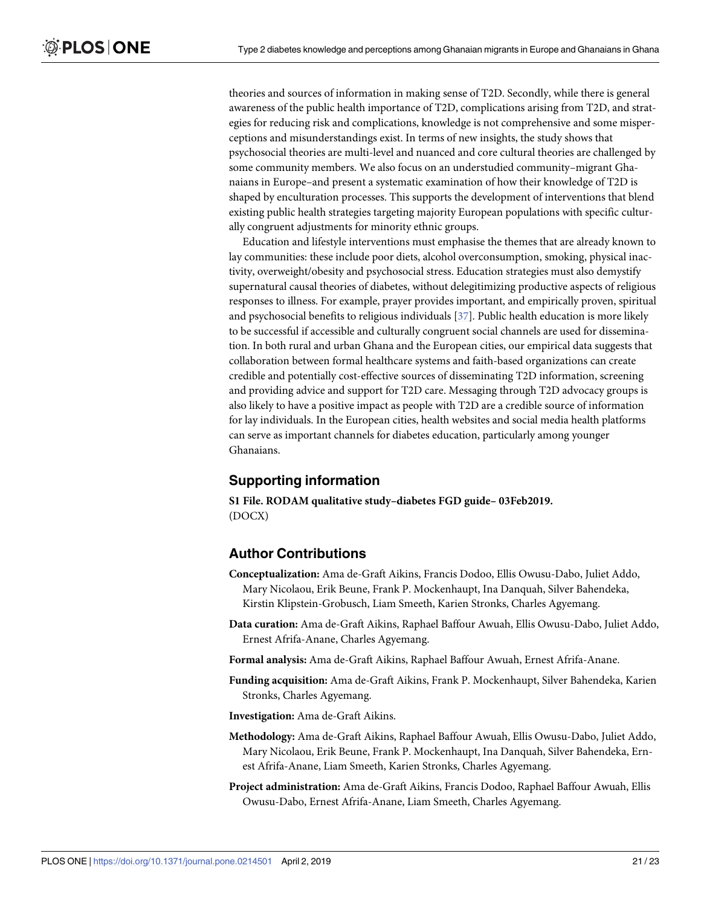<span id="page-20-0"></span>theories and sources of information in making sense of T2D. Secondly, while there is general awareness of the public health importance of T2D, complications arising from T2D, and strategies for reducing risk and complications, knowledge is not comprehensive and some misperceptions and misunderstandings exist. In terms of new insights, the study shows that psychosocial theories are multi-level and nuanced and core cultural theories are challenged by some community members. We also focus on an understudied community–migrant Ghanaians in Europe–and present a systematic examination of how their knowledge of T2D is shaped by enculturation processes. This supports the development of interventions that blend existing public health strategies targeting majority European populations with specific culturally congruent adjustments for minority ethnic groups.

Education and lifestyle interventions must emphasise the themes that are already known to lay communities: these include poor diets, alcohol overconsumption, smoking, physical inactivity, overweight/obesity and psychosocial stress. Education strategies must also demystify supernatural causal theories of diabetes, without delegitimizing productive aspects of religious responses to illness. For example, prayer provides important, and empirically proven, spiritual and psychosocial benefits to religious individuals [[37](#page-22-0)]. Public health education is more likely to be successful if accessible and culturally congruent social channels are used for dissemination. In both rural and urban Ghana and the European cities, our empirical data suggests that collaboration between formal healthcare systems and faith-based organizations can create credible and potentially cost-effective sources of disseminating T2D information, screening and providing advice and support for T2D care. Messaging through T2D advocacy groups is also likely to have a positive impact as people with T2D are a credible source of information for lay individuals. In the European cities, health websites and social media health platforms can serve as important channels for diabetes education, particularly among younger Ghanaians.

## **Supporting information**

**S1 [File.](http://www.plosone.org/article/fetchSingleRepresentation.action?uri=info:doi/10.1371/journal.pone.0214501.s001) RODAM qualitative study–diabetes FGD guide– 03Feb2019.** (DOCX)

## **Author Contributions**

- **Conceptualization:** Ama de-Graft Aikins, Francis Dodoo, Ellis Owusu-Dabo, Juliet Addo, Mary Nicolaou, Erik Beune, Frank P. Mockenhaupt, Ina Danquah, Silver Bahendeka, Kirstin Klipstein-Grobusch, Liam Smeeth, Karien Stronks, Charles Agyemang.
- **Data curation:** Ama de-Graft Aikins, Raphael Baffour Awuah, Ellis Owusu-Dabo, Juliet Addo, Ernest Afrifa-Anane, Charles Agyemang.
- **Formal analysis:** Ama de-Graft Aikins, Raphael Baffour Awuah, Ernest Afrifa-Anane.
- **Funding acquisition:** Ama de-Graft Aikins, Frank P. Mockenhaupt, Silver Bahendeka, Karien Stronks, Charles Agyemang.
- **Investigation:** Ama de-Graft Aikins.
- **Methodology:** Ama de-Graft Aikins, Raphael Baffour Awuah, Ellis Owusu-Dabo, Juliet Addo, Mary Nicolaou, Erik Beune, Frank P. Mockenhaupt, Ina Danquah, Silver Bahendeka, Ernest Afrifa-Anane, Liam Smeeth, Karien Stronks, Charles Agyemang.
- **Project administration:** Ama de-Graft Aikins, Francis Dodoo, Raphael Baffour Awuah, Ellis Owusu-Dabo, Ernest Afrifa-Anane, Liam Smeeth, Charles Agyemang.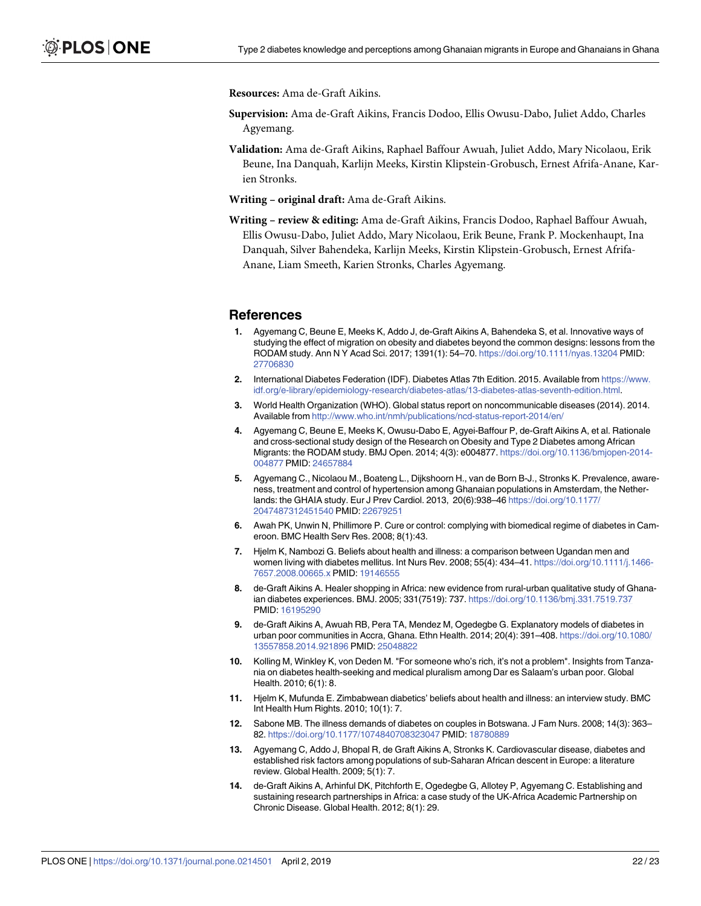<span id="page-21-0"></span>**Resources:** Ama de-Graft Aikins.

- **Supervision:** Ama de-Graft Aikins, Francis Dodoo, Ellis Owusu-Dabo, Juliet Addo, Charles Agyemang.
- **Validation:** Ama de-Graft Aikins, Raphael Baffour Awuah, Juliet Addo, Mary Nicolaou, Erik Beune, Ina Danquah, Karlijn Meeks, Kirstin Klipstein-Grobusch, Ernest Afrifa-Anane, Karien Stronks.
- **Writing – original draft:** Ama de-Graft Aikins.
- **Writing – review & editing:** Ama de-Graft Aikins, Francis Dodoo, Raphael Baffour Awuah, Ellis Owusu-Dabo, Juliet Addo, Mary Nicolaou, Erik Beune, Frank P. Mockenhaupt, Ina Danquah, Silver Bahendeka, Karlijn Meeks, Kirstin Klipstein-Grobusch, Ernest Afrifa-Anane, Liam Smeeth, Karien Stronks, Charles Agyemang.

## **References**

- **[1](#page-1-0).** Agyemang C, Beune E, Meeks K, Addo J, de-Graft Aikins A, Bahendeka S, et al. Innovative ways of studying the effect of migration on obesity and diabetes beyond the common designs: lessons from the RODAM study. Ann N Y Acad Sci. 2017; 1391(1): 54–70. <https://doi.org/10.1111/nyas.13204> PMID: [27706830](http://www.ncbi.nlm.nih.gov/pubmed/27706830)
- **[2](#page-1-0).** International Diabetes Federation (IDF). Diabetes Atlas 7th Edition. 2015. Available from [https://www.](https://www.idf.org/e-library/epidemiology-research/diabetes-atlas/13-diabetes-atlas-seventh-edition.html) [idf.org/e-library/epidemiology-research/diabetes-atlas/13-diabetes-atlas-seventh-edition.html.](https://www.idf.org/e-library/epidemiology-research/diabetes-atlas/13-diabetes-atlas-seventh-edition.html)
- **[3](#page-1-0).** World Health Organization (WHO). Global status report on noncommunicable diseases (2014). 2014. Available from <http://www.who.int/nmh/publications/ncd-status-report-2014/en/>
- **[4](#page-1-0).** Agyemang C, Beune E, Meeks K, Owusu-Dabo E, Agyei-Baffour P, de-Graft Aikins A, et al. Rationale and cross-sectional study design of the Research on Obesity and Type 2 Diabetes among African Migrants: the RODAM study. BMJ Open. 2014; 4(3): e004877. [https://doi.org/10.1136/bmjopen-2014-](https://doi.org/10.1136/bmjopen-2014-004877) [004877](https://doi.org/10.1136/bmjopen-2014-004877) PMID: [24657884](http://www.ncbi.nlm.nih.gov/pubmed/24657884)
- **[5](#page-1-0).** Agyemang C., Nicolaou M., Boateng L., Dijkshoorn H., van de Born B-J., Stronks K. Prevalence, awareness, treatment and control of hypertension among Ghanaian populations in Amsterdam, the Netherlands: the GHAIA study. Eur J Prev Cardiol. 2013, 20(6):938–46 [https://doi.org/10.1177/](https://doi.org/10.1177/2047487312451540) [2047487312451540](https://doi.org/10.1177/2047487312451540) PMID: [22679251](http://www.ncbi.nlm.nih.gov/pubmed/22679251)
- **[6](#page-1-0).** Awah PK, Unwin N, Phillimore P. Cure or control: complying with biomedical regime of diabetes in Cameroon. BMC Health Serv Res. 2008; 8(1):43.
- **[7](#page-4-0).** Hjelm K, Nambozi G. Beliefs about health and illness: a comparison between Ugandan men and women living with diabetes mellitus. Int Nurs Rev. 2008; 55(4): 434–41. [https://doi.org/10.1111/j.1466-](https://doi.org/10.1111/j.1466-7657.2008.00665.x) [7657.2008.00665.x](https://doi.org/10.1111/j.1466-7657.2008.00665.x) PMID: [19146555](http://www.ncbi.nlm.nih.gov/pubmed/19146555)
- **[8](#page-2-0).** de-Graft Aikins A. Healer shopping in Africa: new evidence from rural-urban qualitative study of Ghanaian diabetes experiences. BMJ. 2005; 331(7519): 737. <https://doi.org/10.1136/bmj.331.7519.737> PMID: [16195290](http://www.ncbi.nlm.nih.gov/pubmed/16195290)
- **9.** de-Graft Aikins A, Awuah RB, Pera TA, Mendez M, Ogedegbe G. Explanatory models of diabetes in urban poor communities in Accra, Ghana. Ethn Health. 2014; 20(4): 391–408. [https://doi.org/10.1080/](https://doi.org/10.1080/13557858.2014.921896) [13557858.2014.921896](https://doi.org/10.1080/13557858.2014.921896) PMID: [25048822](http://www.ncbi.nlm.nih.gov/pubmed/25048822)
- **[10](#page-2-0).** Kolling M, Winkley K, von Deden M. "For someone who's rich, it's not a problem". Insights from Tanzania on diabetes health-seeking and medical pluralism among Dar es Salaam's urban poor. Global Health. 2010; 6(1): 8.
- **11.** Hjelm K, Mufunda E. Zimbabwean diabetics' beliefs about health and illness: an interview study. BMC Int Health Hum Rights. 2010; 10(1): 7.
- **[12](#page-1-0).** Sabone MB. The illness demands of diabetes on couples in Botswana. J Fam Nurs. 2008; 14(3): 363– 82. <https://doi.org/10.1177/1074840708323047> PMID: [18780889](http://www.ncbi.nlm.nih.gov/pubmed/18780889)
- **[13](#page-2-0).** Agyemang C, Addo J, Bhopal R, de Graft Aikins A, Stronks K. Cardiovascular disease, diabetes and established risk factors among populations of sub-Saharan African descent in Europe: a literature review. Global Health. 2009; 5(1): 7.
- **[14](#page-2-0).** de-Graft Aikins A, Arhinful DK, Pitchforth E, Ogedegbe G, Allotey P, Agyemang C. Establishing and sustaining research partnerships in Africa: a case study of the UK-Africa Academic Partnership on Chronic Disease. Global Health. 2012; 8(1): 29.